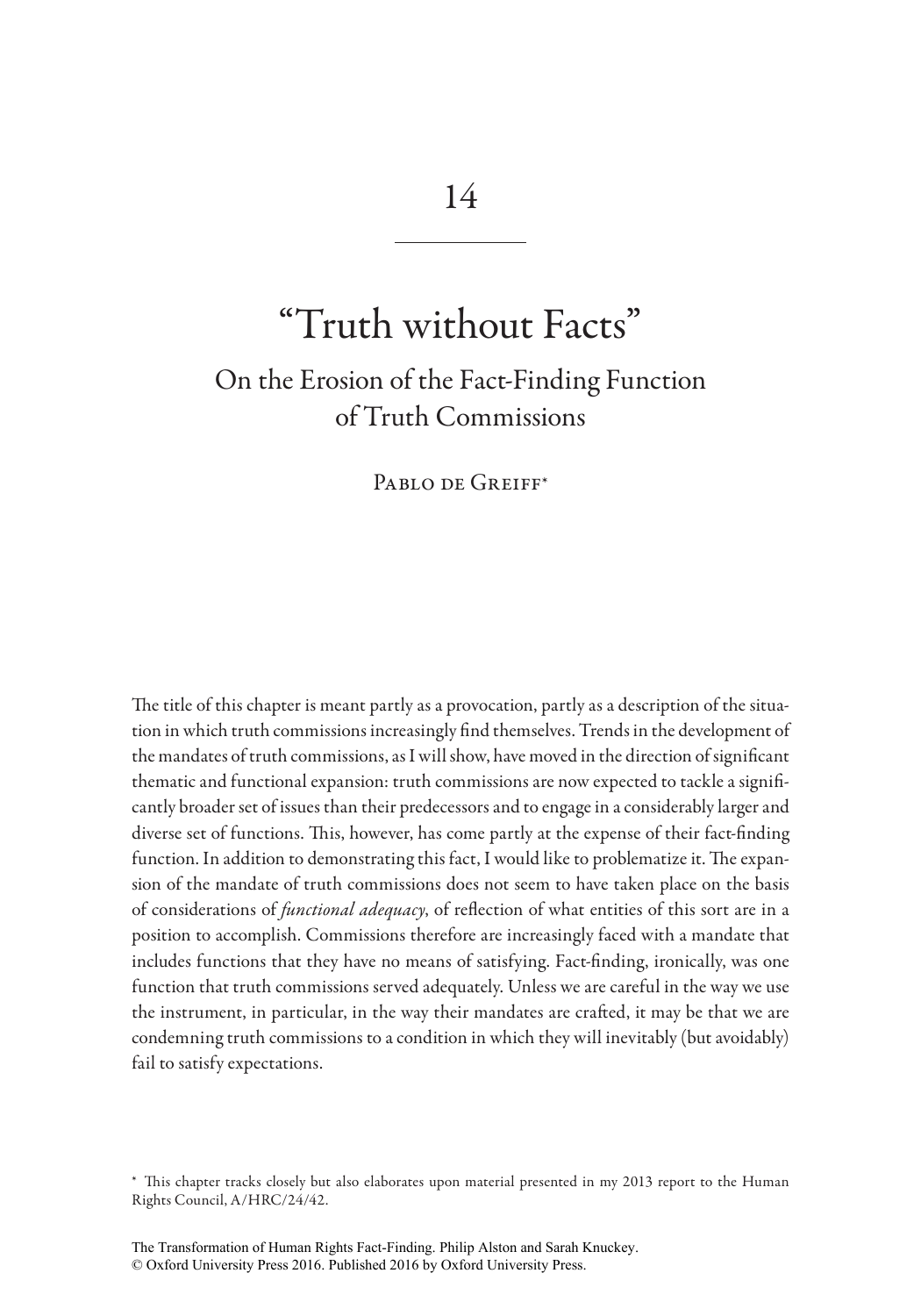# "Truth without Facts"

## On the Erosion of the Fact-Finding Function of Truth Commissions

PABLO DE GREIFF\*

The title of this chapter is meant partly as a provocation, partly as a description of the situation in which truth commissions increasingly find themselves. Trends in the development of the mandates of truth commissions, as I will show, have moved in the direction of significant thematic and functional expansion: truth commissions are now expected to tackle a significantly broader set of issues than their predecessors and to engage in a considerably larger and diverse set of functions. This, however, has come partly at the expense of their fact-finding function. In addition to demonstrating this fact, I would like to problematize it. The expansion of the mandate of truth commissions does not seem to have taken place on the basis of considerations of *functional adequacy*, of reflection of what entities of this sort are in a position to accomplish. Commissions therefore are increasingly faced with a mandate that includes functions that they have no means of satisfying. Fact-finding, ironically, was one function that truth commissions served adequately. Unless we are careful in the way we use the instrument, in particular, in the way their mandates are crafted, it may be that we are condemning truth commissions to a condition in which they will inevitably (but avoidably) fail to satisfy expectations.

<sup>\*</sup> This chapter tracks closely but also elaborates upon material presented in my 2013 report to the Human Rights Council, A/HRC/24/42.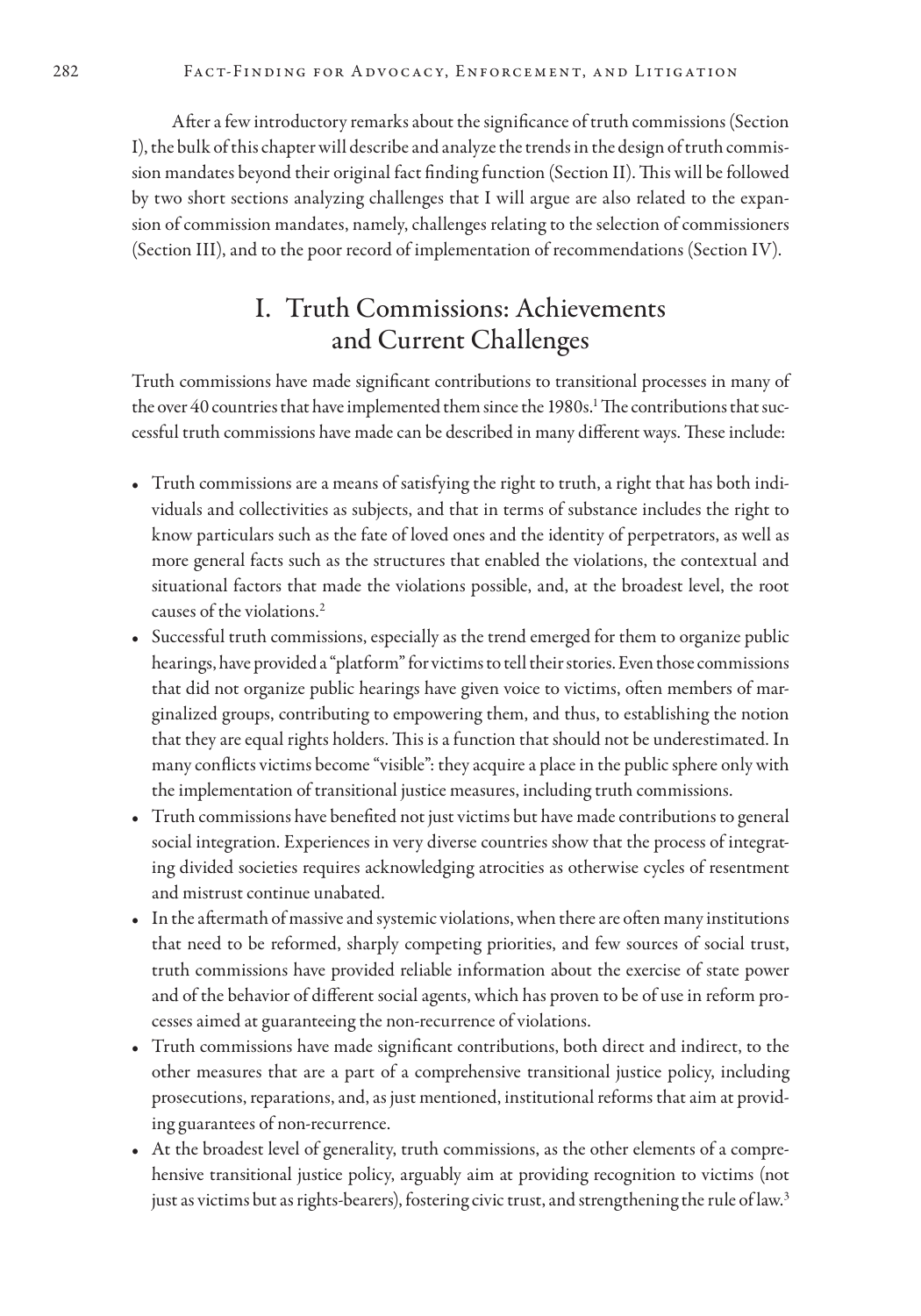After a few introductory remarks about the significance of truth commissions (Section I), the bulk of this chapter will describe and analyze the trends in the design of truth commission mandates beyond their original fact finding function (Section II). This will be followed by two short sections analyzing challenges that I will argue are also related to the expansion of commission mandates, namely, challenges relating to the selection of commissioners (Section III), and to the poor record of implementation of recommendations (Section IV).

### I. Truth Commissions: Achievements and Current Challenges

Truth commissions have made significant contributions to transitional processes in many of the over  $40$  countries that have implemented them since the 1980s.<sup>1</sup> The contributions that successful truth commissions have made can be described in many different ways. These include:

- Truth commissions are a means of satisfying the right to truth, a right that has both individuals and collectivities as subjects, and that in terms of substance includes the right to know particulars such as the fate of loved ones and the identity of perpetrators, as well as more general facts such as the structures that enabled the violations, the contextual and situational factors that made the violations possible, and, at the broadest level, the root causes of the violations.2
- Successful truth commissions, especially as the trend emerged for them to organize public hearings, have provided a "platform" for victims to tell their stories. Even those commissions that did not organize public hearings have given voice to victims, often members of marginalized groups, contributing to empowering them, and thus, to establishing the notion that they are equal rights holders. This is a function that should not be underestimated. In many conflicts victims become "visible": they acquire a place in the public sphere only with the implementation of transitional justice measures, including truth commissions.
- Truth commissions have benefited not just victims but have made contributions to general social integration. Experiences in very diverse countries show that the process of integrating divided societies requires acknowledging atrocities as otherwise cycles of resentment and mistrust continue unabated.
- In the aftermath of massive and systemic violations, when there are often many institutions that need to be reformed, sharply competing priorities, and few sources of social trust, truth commissions have provided reliable information about the exercise of state power and of the behavior of different social agents, which has proven to be of use in reform processes aimed at guaranteeing the non-recurrence of violations.
- Truth commissions have made significant contributions, both direct and indirect, to the other measures that are a part of a comprehensive transitional justice policy, including prosecutions, reparations, and, as just mentioned, institutional reforms that aim at providing guarantees of non-recurrence.
- At the broadest level of generality, truth commissions, as the other elements of a comprehensive transitional justice policy, arguably aim at providing recognition to victims (not just as victims but as rights-bearers), fostering civic trust, and strengthening the rule of law.<sup>3</sup>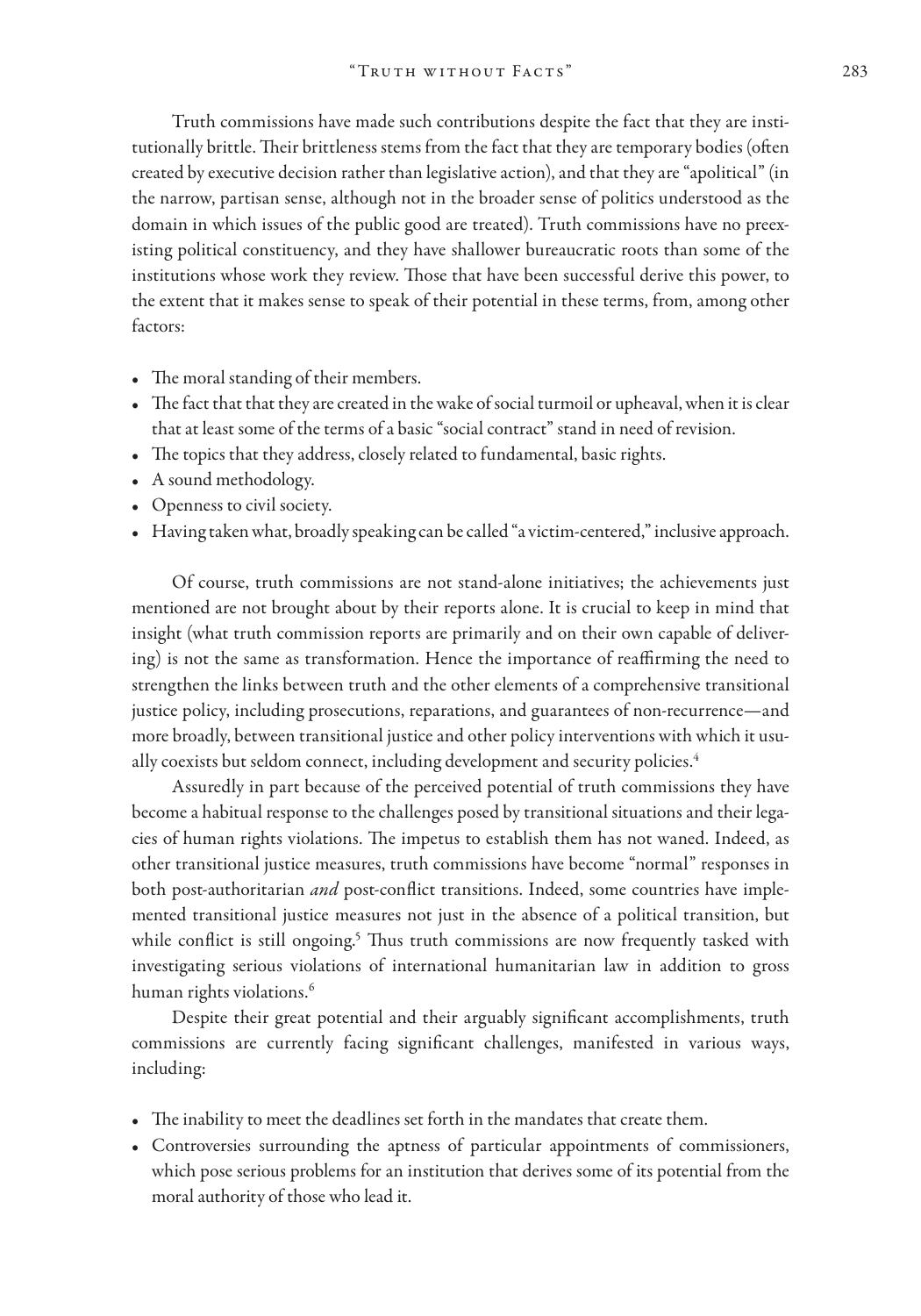Truth commissions have made such contributions despite the fact that they are institutionally brittle. Their brittleness stems from the fact that they are temporary bodies (often created by executive decision rather than legislative action), and that they are "apolitical" (in the narrow, partisan sense, although not in the broader sense of politics understood as the domain in which issues of the public good are treated). Truth commissions have no preexisting political constituency, and they have shallower bureaucratic roots than some of the institutions whose work they review. Those that have been successful derive this power, to the extent that it makes sense to speak of their potential in these terms, from, among other factors:

- The moral standing of their members.
- The fact that that they are created in the wake of social turmoil or upheaval, when it is clear that at least some of the terms of a basic "social contract" stand in need of revision.
- The topics that they address, closely related to fundamental, basic rights.
- A sound methodology.
- Openness to civil society.
- Having taken what, broadly speaking can be called "a victim-centered," inclusive approach.

Of course, truth commissions are not stand-alone initiatives; the achievements just mentioned are not brought about by their reports alone. It is crucial to keep in mind that insight (what truth commission reports are primarily and on their own capable of delivering) is not the same as transformation. Hence the importance of reaffirming the need to strengthen the links between truth and the other elements of a comprehensive transitional justice policy, including prosecutions, reparations, and guarantees of non-recurrence—and more broadly, between transitional justice and other policy interventions with which it usually coexists but seldom connect, including development and security policies.<sup>4</sup>

Assuredly in part because of the perceived potential of truth commissions they have become a habitual response to the challenges posed by transitional situations and their legacies of human rights violations. The impetus to establish them has not waned. Indeed, as other transitional justice measures, truth commissions have become "normal" responses in both post-authoritarian *and* post-conflict transitions. Indeed, some countries have implemented transitional justice measures not just in the absence of a political transition, but while conflict is still ongoing.<sup>5</sup> Thus truth commissions are now frequently tasked with investigating serious violations of international humanitarian law in addition to gross human rights violations.<sup>6</sup>

Despite their great potential and their arguably significant accomplishments, truth commissions are currently facing significant challenges, manifested in various ways, including:

- The inability to meet the deadlines set forth in the mandates that create them.
- Controversies surrounding the aptness of particular appointments of commissioners, which pose serious problems for an institution that derives some of its potential from the moral authority of those who lead it.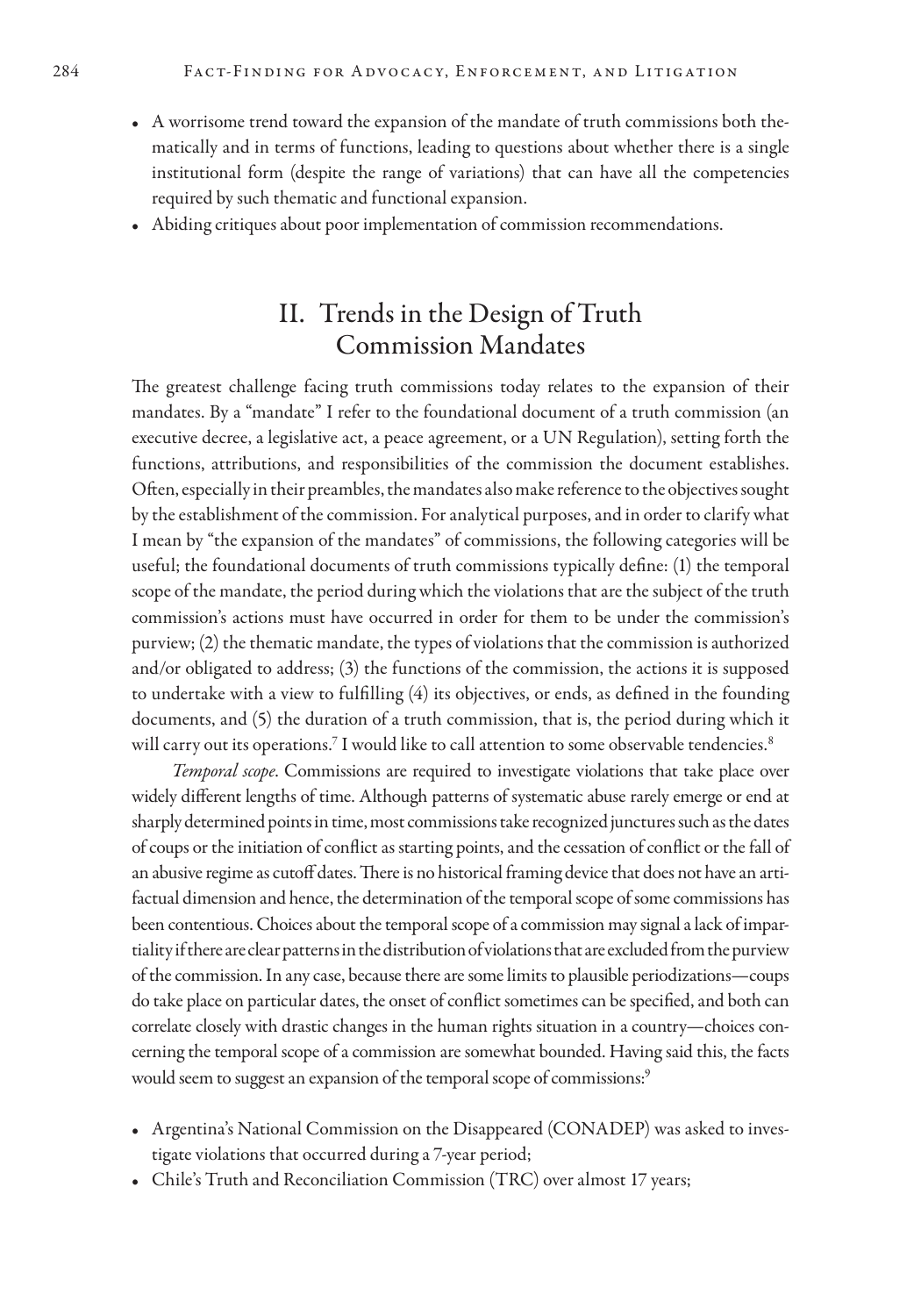- A worrisome trend toward the expansion of the mandate of truth commissions both thematically and in terms of functions, leading to questions about whether there is a single institutional form (despite the range of variations) that can have all the competencies required by such thematic and functional expansion.
- Abiding critiques about poor implementation of commission recommendations.

#### II. Trends in the Design of Truth Commission Mandates

The greatest challenge facing truth commissions today relates to the expansion of their mandates. By a "mandate" I refer to the foundational document of a truth commission (an executive decree, a legislative act, a peace agreement, or a UN Regulation), setting forth the functions, attributions, and responsibilities of the commission the document establishes. Often, especially in their preambles, the mandates also make reference to the objectives sought by the establishment of the commission. For analytical purposes, and in order to clarify what I mean by "the expansion of the mandates" of commissions, the following categories will be useful; the foundational documents of truth commissions typically define: (1) the temporal scope of the mandate, the period during which the violations that are the subject of the truth commission's actions must have occurred in order for them to be under the commission's purview; (2) the thematic mandate, the types of violations that the commission is authorized and/or obligated to address; (3) the functions of the commission, the actions it is supposed to undertake with a view to fulfilling (4) its objectives, or ends, as defined in the founding documents, and (5) the duration of a truth commission, that is, the period during which it will carry out its operations. $^7$  I would like to call attention to some observable tendencies. $^8$ 

*Temporal scope*. Commissions are required to investigate violations that take place over widely different lengths of time. Although patterns of systematic abuse rarely emerge or end at sharply determined points in time, most commissions take recognized junctures such as the dates of coups or the initiation of conflict as starting points, and the cessation of conflict or the fall of an abusive regime as cutoff dates. There is no historical framing device that does not have an artifactual dimension and hence, the determination of the temporal scope of some commissions has been contentious. Choices about the temporal scope of a commission may signal a lack of impartiality if there are clear patterns in the distribution of violations that are excluded from the purview of the commission. In any case, because there are some limits to plausible periodizations—coups do take place on particular dates, the onset of conflict sometimes can be specified, and both can correlate closely with drastic changes in the human rights situation in a country—choices concerning the temporal scope of a commission are somewhat bounded. Having said this, the facts would seem to suggest an expansion of the temporal scope of commissions:<sup>9</sup>

- Argentina's National Commission on the Disappeared (CONADEP) was asked to investigate violations that occurred during a 7-year period;
- Chile's Truth and Reconciliation Commission (TRC) over almost 17 years;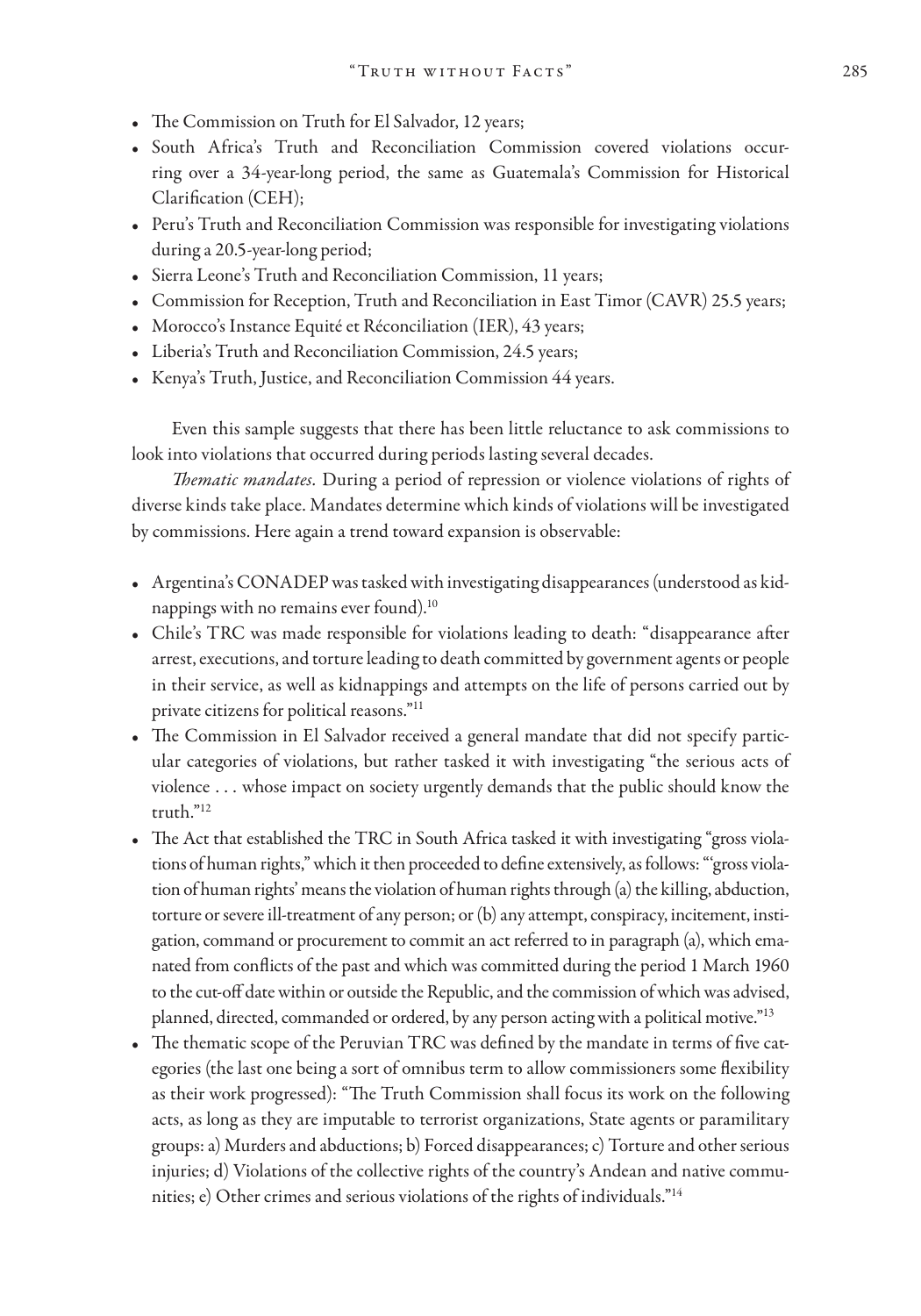- The Commission on Truth for El Salvador, 12 years;
- South Africa's Truth and Reconciliation Commission covered violations occurring over a 34-year-long period, the same as Guatemala's Commission for Historical Clarification (CEH);
- Peru's Truth and Reconciliation Commission was responsible for investigating violations during a 20.5-year-long period;
- Sierra Leone's Truth and Reconciliation Commission, 11 years;
- Commission for Reception, Truth and Reconciliation in East Timor (CAVR) 25.5 years;
- Morocco's Instance Equité et Réconciliation (IER), 43 years;
- Liberia's Truth and Reconciliation Commission, 24.5 years;
- Kenya's Truth, Justice, and Reconciliation Commission 44 years.

Even this sample suggests that there has been little reluctance to ask commissions to look into violations that occurred during periods lasting several decades.

*Thematic mandates.* During a period of repression or violence violations of rights of diverse kinds take place. Mandates determine which kinds of violations will be investigated by commissions. Here again a trend toward expansion is observable:

- Argentina's CONADEP was tasked with investigating disappearances (understood as kidnappings with no remains ever found).10
- Chile's TRC was made responsible for violations leading to death: "disappearance after arrest, executions, and torture leading to death committed by government agents or people in their service, as well as kidnappings and attempts on the life of persons carried out by private citizens for political reasons."11
- The Commission in El Salvador received a general mandate that did not specify particular categories of violations, but rather tasked it with investigating "the serious acts of violence … whose impact on society urgently demands that the public should know the truth."12
- The Act that established the TRC in South Africa tasked it with investigating "gross violations of human rights," which it then proceeded to define extensively, as follows: "'gross violation of human rights' means the violation of human rights through (a) the killing, abduction, torture or severe ill-treatment of any person; or (b) any attempt, conspiracy, incitement, instigation, command or procurement to commit an act referred to in paragraph (a), which emanated from conflicts of the past and which was committed during the period 1 March 1960 to the cut-off date within or outside the Republic, and the commission of which was advised, planned, directed, commanded or ordered, by any person acting with a political motive."13
- The thematic scope of the Peruvian TRC was defined by the mandate in terms of five categories (the last one being a sort of omnibus term to allow commissioners some flexibility as their work progressed): "The Truth Commission shall focus its work on the following acts, as long as they are imputable to terrorist organizations, State agents or paramilitary groups: a) Murders and abductions; b) Forced disappearances; c) Torture and other serious injuries; d) Violations of the collective rights of the country's Andean and native communities; e) Other crimes and serious violations of the rights of individuals."14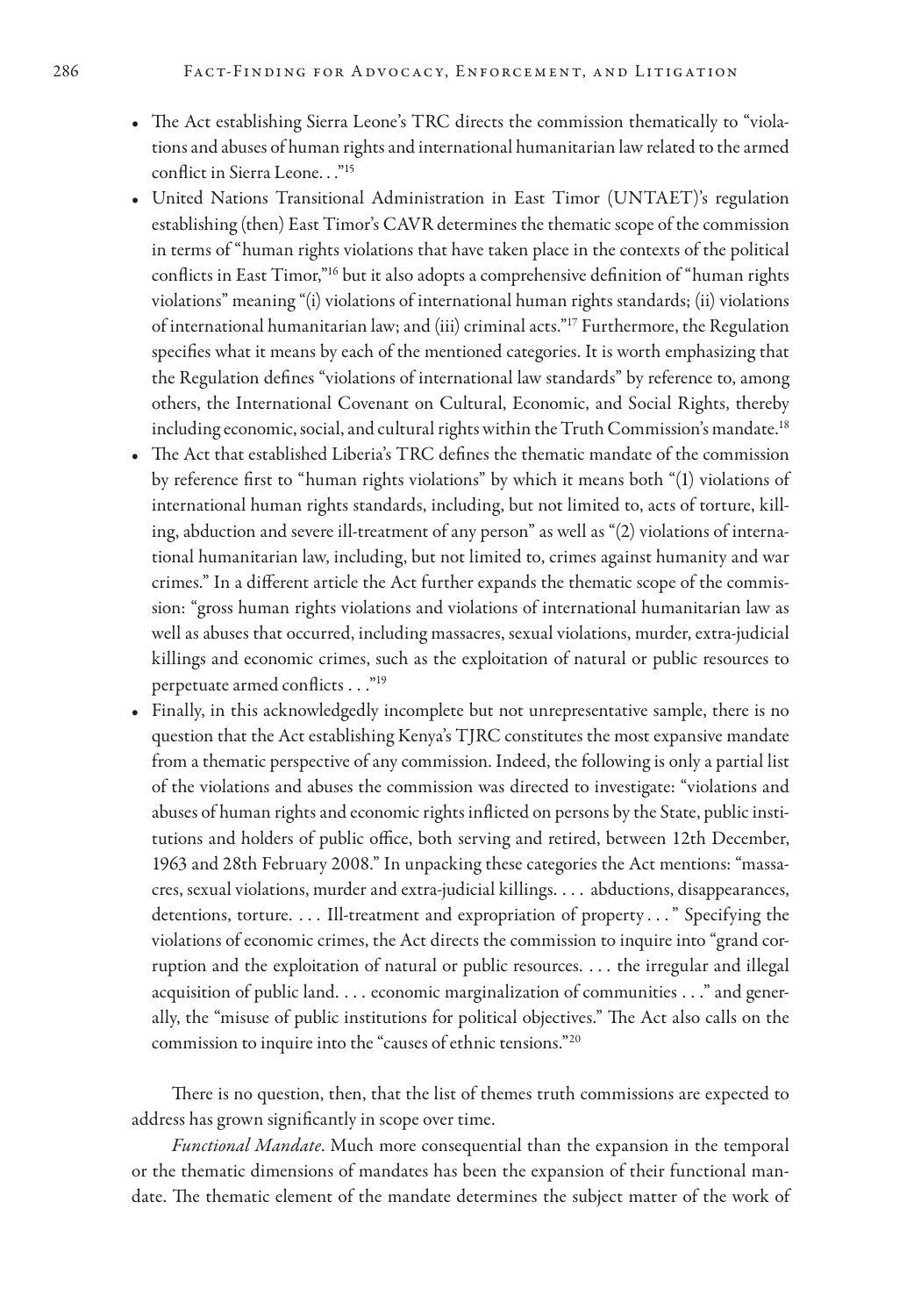- The Act establishing Sierra Leone's TRC directs the commission thematically to "violations and abuses of human rights and international humanitarian law related to the armed conflict in Sierra Leone. . ."15
- United Nations Transitional Administration in East Timor (UNTAET)'s regulation establishing (then) East Timor's CAVR determines the thematic scope of the commission in terms of "human rights violations that have taken place in the contexts of the political conflicts in East Timor,"16 but it also adopts a comprehensive definition of "human rights violations" meaning "(i) violations of international human rights standards; (ii) violations of international humanitarian law; and (iii) criminal acts."17 Furthermore, the Regulation specifies what it means by each of the mentioned categories. It is worth emphasizing that the Regulation defines "violations of international law standards" by reference to, among others, the International Covenant on Cultural, Economic, and Social Rights, thereby including economic, social, and cultural rights within the Truth Commission's mandate.<sup>18</sup>
- The Act that established Liberia's TRC defines the thematic mandate of the commission by reference first to "human rights violations" by which it means both "(1) violations of international human rights standards, including, but not limited to, acts of torture, killing, abduction and severe ill-treatment of any person" as well as "(2) violations of international humanitarian law, including, but not limited to, crimes against humanity and war crimes." In a different article the Act further expands the thematic scope of the commission: "gross human rights violations and violations of international humanitarian law as well as abuses that occurred, including massacres, sexual violations, murder, extra-judicial killings and economic crimes, such as the exploitation of natural or public resources to perpetuate armed conflicts …"19
- Finally, in this acknowledgedly incomplete but not unrepresentative sample, there is no question that the Act establishing Kenya's TJRC constitutes the most expansive mandate from a thematic perspective of any commission. Indeed, the following is only a partial list of the violations and abuses the commission was directed to investigate: "violations and abuses of human rights and economic rights inflicted on persons by the State, public institutions and holders of public office, both serving and retired, between 12th December, 1963 and 28th February 2008." In unpacking these categories the Act mentions: "massacres, sexual violations, murder and extra-judicial killings. … abductions, disappearances, detentions, torture. … Ill-treatment and expropriation of property…" Specifying the violations of economic crimes, the Act directs the commission to inquire into "grand corruption and the exploitation of natural or public resources. … the irregular and illegal acquisition of public land. … economic marginalization of communities …" and generally, the "misuse of public institutions for political objectives." The Act also calls on the commission to inquire into the "causes of ethnic tensions."20

There is no question, then, that the list of themes truth commissions are expected to address has grown significantly in scope over time.

*Functional Mandate*. Much more consequential than the expansion in the temporal or the thematic dimensions of mandates has been the expansion of their functional mandate. The thematic element of the mandate determines the subject matter of the work of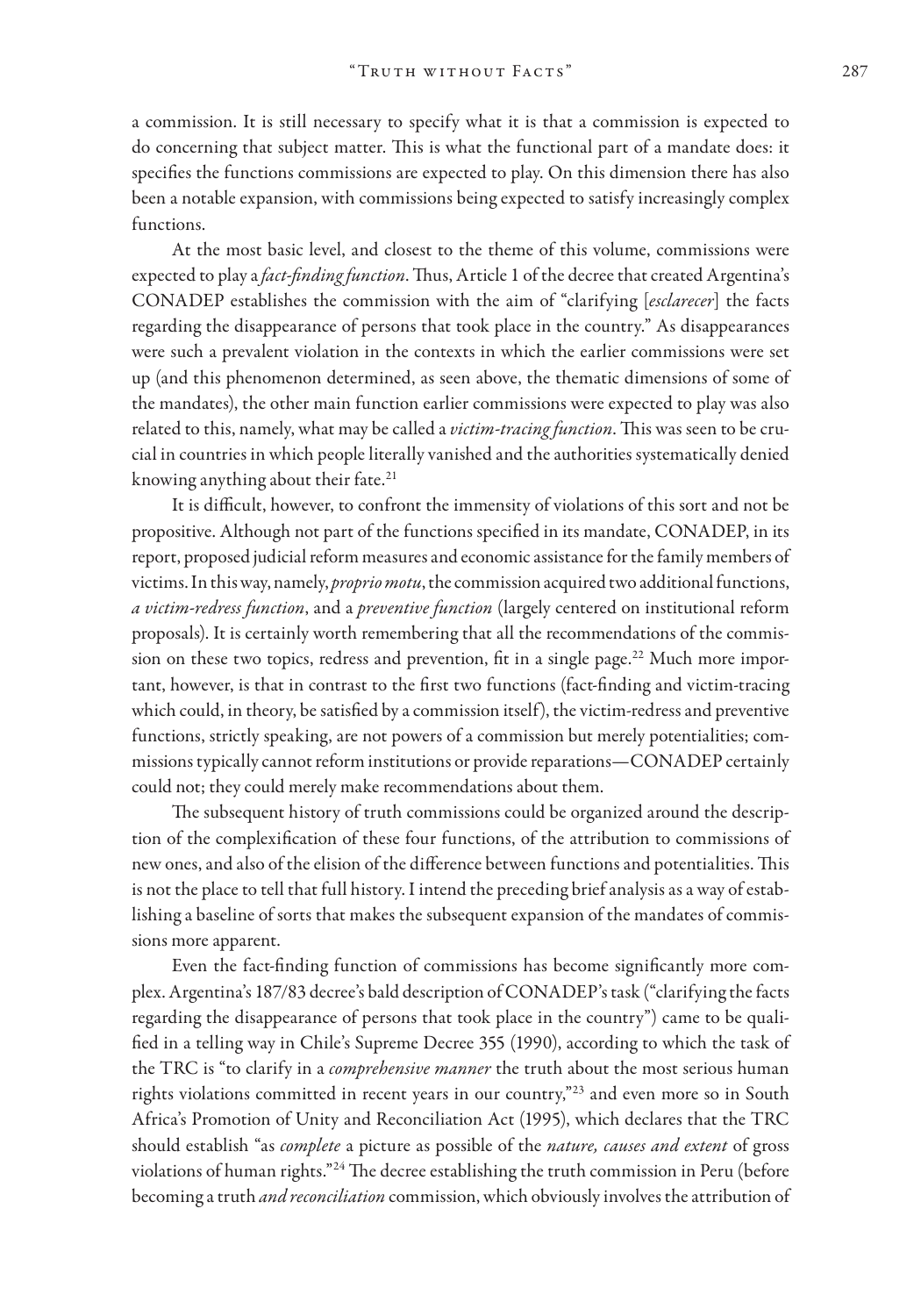a commission. It is still necessary to specify what it is that a commission is expected to do concerning that subject matter. This is what the functional part of a mandate does: it specifies the functions commissions are expected to play. On this dimension there has also been a notable expansion, with commissions being expected to satisfy increasingly complex functions.

At the most basic level, and closest to the theme of this volume, commissions were expected to play a *fact-finding function*. Thus, Article 1 of the decree that created Argentina's CONADEP establishes the commission with the aim of "clarifying [*esclarecer*] the facts regarding the disappearance of persons that took place in the country." As disappearances were such a prevalent violation in the contexts in which the earlier commissions were set up (and this phenomenon determined, as seen above, the thematic dimensions of some of the mandates), the other main function earlier commissions were expected to play was also related to this, namely, what may be called a *victim-tracing function*. This was seen to be crucial in countries in which people literally vanished and the authorities systematically denied knowing anything about their fate.<sup>21</sup>

It is difficult, however, to confront the immensity of violations of this sort and not be propositive. Although not part of the functions specified in its mandate, CONADEP, in its report, proposed judicial reform measures and economic assistance for the family members of victims. In this way, namely, *proprio motu*, the commission acquired two additional functions, *a victim-redress function*, and a *preventive function* (largely centered on institutional reform proposals). It is certainly worth remembering that all the recommendations of the commission on these two topics, redress and prevention, fit in a single page.<sup>22</sup> Much more important, however, is that in contrast to the first two functions (fact-finding and victim-tracing which could, in theory, be satisfied by a commission itself), the victim-redress and preventive functions, strictly speaking, are not powers of a commission but merely potentialities; commissions typically cannot reform institutions or provide reparations—CONADEP certainly could not; they could merely make recommendations about them.

The subsequent history of truth commissions could be organized around the description of the complexification of these four functions, of the attribution to commissions of new ones, and also of the elision of the difference between functions and potentialities. This is not the place to tell that full history. I intend the preceding brief analysis as a way of establishing a baseline of sorts that makes the subsequent expansion of the mandates of commissions more apparent.

Even the fact-finding function of commissions has become significantly more complex. Argentina's 187/83 decree's bald description of CONADEP's task ("clarifying the facts regarding the disappearance of persons that took place in the country") came to be qualified in a telling way in Chile's Supreme Decree 355 (1990), according to which the task of the TRC is "to clarify in a *comprehensive manner* the truth about the most serious human rights violations committed in recent years in our country,"23 and even more so in South Africa's Promotion of Unity and Reconciliation Act (1995), which declares that the TRC should establish "as *complete* a picture as possible of the *nature, causes and extent* of gross violations of human rights."24 The decree establishing the truth commission in Peru (before becoming a truth *and reconciliation* commission, which obviously involves the attribution of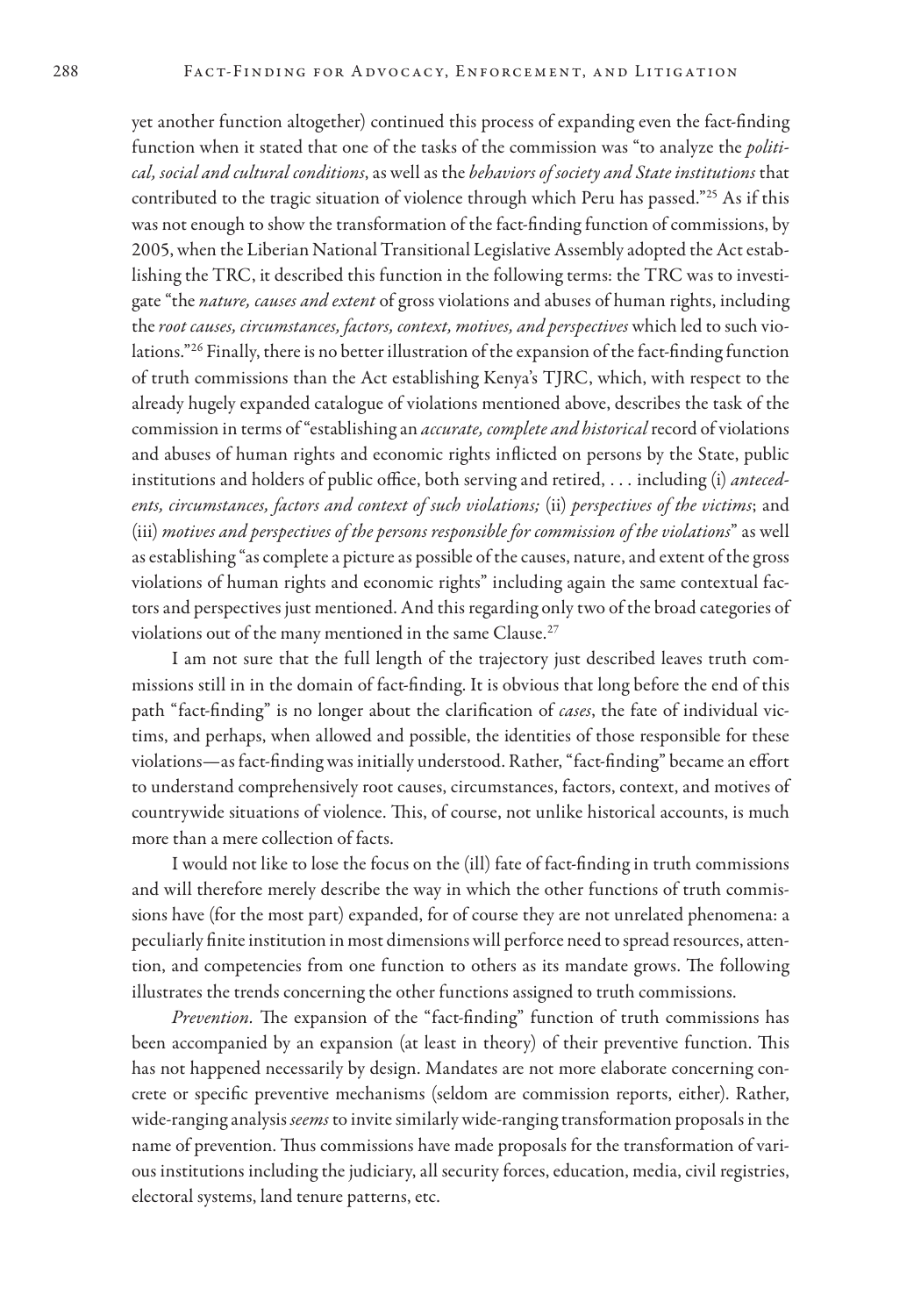yet another function altogether) continued this process of expanding even the fact-finding function when it stated that one of the tasks of the commission was "to analyze the *political, social and cultural conditions*, as well as the *behaviors of society and State institutions* that contributed to the tragic situation of violence through which Peru has passed."25 As if this was not enough to show the transformation of the fact-finding function of commissions, by 2005, when the Liberian National Transitional Legislative Assembly adopted the Act establishing the TRC, it described this function in the following terms: the TRC was to investigate "the *nature, causes and extent* of gross violations and abuses of human rights, including the *root causes, circumstances, factors, context, motives, and perspectives* which led to such violations."26 Finally, there is no better illustration of the expansion of the fact-finding function of truth commissions than the Act establishing Kenya's TJRC, which, with respect to the already hugely expanded catalogue of violations mentioned above, describes the task of the commission in terms of "establishing an *accurate, complete and historical* record of violations and abuses of human rights and economic rights inflicted on persons by the State, public institutions and holders of public office, both serving and retired, … including (i) *antecedents, circumstances, factors and context of such violations;* (ii) *perspectives of the victims*; and (iii) *motives and perspectives of the persons responsible for commission of the violations*" as well as establishing "as complete a picture as possible of the causes, nature, and extent of the gross violations of human rights and economic rights" including again the same contextual factors and perspectives just mentioned. And this regarding only two of the broad categories of violations out of the many mentioned in the same Clause.<sup>27</sup>

I am not sure that the full length of the trajectory just described leaves truth commissions still in in the domain of fact-finding. It is obvious that long before the end of this path "fact-finding" is no longer about the clarification of *cases*, the fate of individual victims, and perhaps, when allowed and possible, the identities of those responsible for these violations—as fact-finding was initially understood. Rather, "fact-finding" became an effort to understand comprehensively root causes, circumstances, factors, context, and motives of countrywide situations of violence. This, of course, not unlike historical accounts, is much more than a mere collection of facts.

I would not like to lose the focus on the (ill) fate of fact-finding in truth commissions and will therefore merely describe the way in which the other functions of truth commissions have (for the most part) expanded, for of course they are not unrelated phenomena: a peculiarly finite institution in most dimensions will perforce need to spread resources, attention, and competencies from one function to others as its mandate grows. The following illustrates the trends concerning the other functions assigned to truth commissions.

*Prevention.* The expansion of the "fact-finding" function of truth commissions has been accompanied by an expansion (at least in theory) of their preventive function. This has not happened necessarily by design. Mandates are not more elaborate concerning concrete or specific preventive mechanisms (seldom are commission reports, either). Rather, wide-ranging analysis *seems* to invite similarly wide-ranging transformation proposals in the name of prevention. Thus commissions have made proposals for the transformation of various institutions including the judiciary, all security forces, education, media, civil registries, electoral systems, land tenure patterns, etc.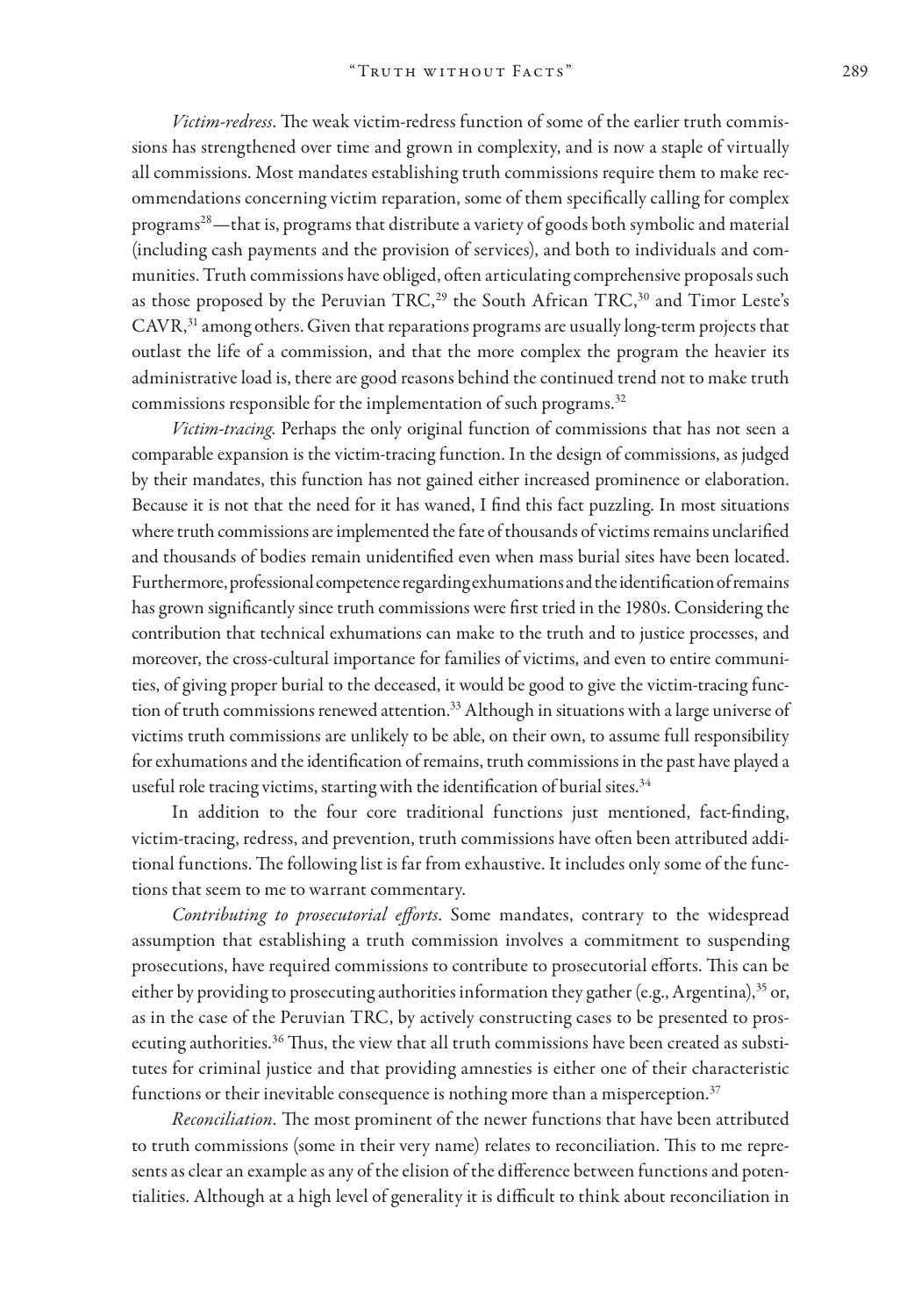*Victim-redress*. The weak victim-redress function of some of the earlier truth commissions has strengthened over time and grown in complexity, and is now a staple of virtually all commissions. Most mandates establishing truth commissions require them to make recommendations concerning victim reparation, some of them specifically calling for complex programs28—that is, programs that distribute a variety of goods both symbolic and material (including cash payments and the provision of services), and both to individuals and communities. Truth commissions have obliged, often articulating comprehensive proposals such as those proposed by the Peruvian TRC,<sup>29</sup> the South African TRC,<sup>30</sup> and Timor Leste's  $CAVR$ , $31$  among others. Given that reparations programs are usually long-term projects that outlast the life of a commission, and that the more complex the program the heavier its administrative load is, there are good reasons behind the continued trend not to make truth commissions responsible for the implementation of such programs.<sup>32</sup>

*Victim-tracing*. Perhaps the only original function of commissions that has not seen a comparable expansion is the victim-tracing function. In the design of commissions, as judged by their mandates, this function has not gained either increased prominence or elaboration. Because it is not that the need for it has waned, I find this fact puzzling. In most situations where truth commissions are implemented the fate of thousands of victims remains unclarified and thousands of bodies remain unidentified even when mass burial sites have been located. Furthermore, professional competence regarding exhumations and the identification of remains has grown significantly since truth commissions were first tried in the 1980s. Considering the contribution that technical exhumations can make to the truth and to justice processes, and moreover, the cross-cultural importance for families of victims, and even to entire communities, of giving proper burial to the deceased, it would be good to give the victim-tracing function of truth commissions renewed attention.33 Although in situations with a large universe of victims truth commissions are unlikely to be able, on their own, to assume full responsibility for exhumations and the identification of remains, truth commissions in the past have played a useful role tracing victims, starting with the identification of burial sites.<sup>34</sup>

In addition to the four core traditional functions just mentioned, fact-finding, victim-tracing, redress, and prevention, truth commissions have often been attributed additional functions. The following list is far from exhaustive. It includes only some of the functions that seem to me to warrant commentary.

*Contributing to prosecutorial efforts*. Some mandates, contrary to the widespread assumption that establishing a truth commission involves a commitment to suspending prosecutions, have required commissions to contribute to prosecutorial efforts. This can be either by providing to prosecuting authorities information they gather (e.g., Argentina),  $35$  or, as in the case of the Peruvian TRC, by actively constructing cases to be presented to prosecuting authorities. $36$  Thus, the view that all truth commissions have been created as substitutes for criminal justice and that providing amnesties is either one of their characteristic functions or their inevitable consequence is nothing more than a misperception. $37$ 

*Reconciliation.* The most prominent of the newer functions that have been attributed to truth commissions (some in their very name) relates to reconciliation. This to me represents as clear an example as any of the elision of the difference between functions and potentialities. Although at a high level of generality it is difficult to think about reconciliation in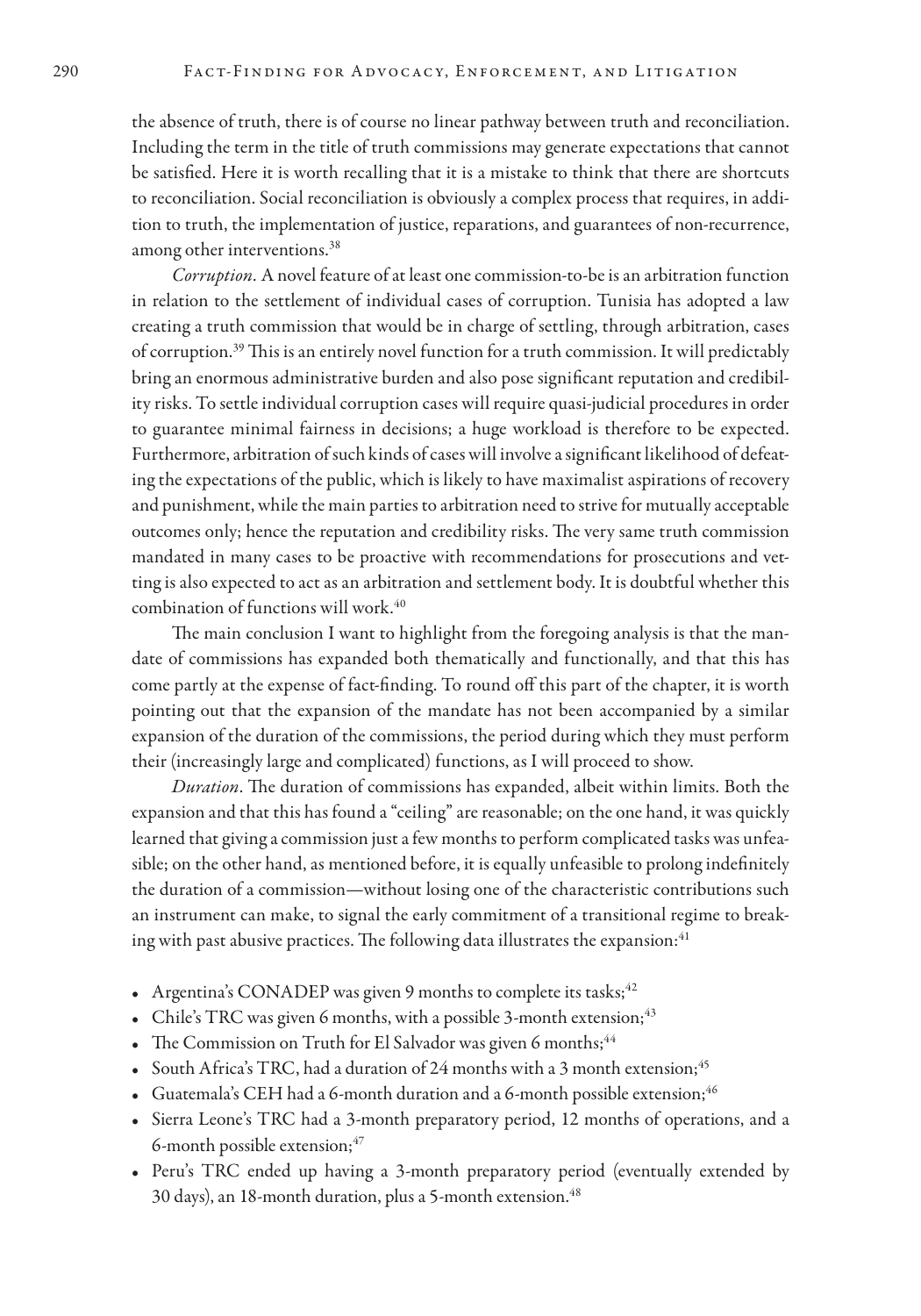the absence of truth, there is of course no linear pathway between truth and reconciliation. Including the term in the title of truth commissions may generate expectations that cannot be satisfied. Here it is worth recalling that it is a mistake to think that there are shortcuts to reconciliation. Social reconciliation is obviously a complex process that requires, in addition to truth, the implementation of justice, reparations, and guarantees of non-recurrence, among other interventions.<sup>38</sup>

*Corruption.* A novel feature of at least one commission-to-be is an arbitration function in relation to the settlement of individual cases of corruption. Tunisia has adopted a law creating a truth commission that would be in charge of settling, through arbitration, cases of corruption.39 This is an entirely novel function for a truth commission. It will predictably bring an enormous administrative burden and also pose significant reputation and credibility risks. To settle individual corruption cases will require quasi-judicial procedures in order to guarantee minimal fairness in decisions; a huge workload is therefore to be expected. Furthermore, arbitration of such kinds of cases will involve a significant likelihood of defeating the expectations of the public, which is likely to have maximalist aspirations of recovery and punishment, while the main parties to arbitration need to strive for mutually acceptable outcomes only; hence the reputation and credibility risks. The very same truth commission mandated in many cases to be proactive with recommendations for prosecutions and vetting is also expected to act as an arbitration and settlement body. It is doubtful whether this combination of functions will work.<sup>40</sup>

The main conclusion I want to highlight from the foregoing analysis is that the mandate of commissions has expanded both thematically and functionally, and that this has come partly at the expense of fact-finding. To round off this part of the chapter, it is worth pointing out that the expansion of the mandate has not been accompanied by a similar expansion of the duration of the commissions, the period during which they must perform their (increasingly large and complicated) functions, as I will proceed to show.

*Duration*. The duration of commissions has expanded, albeit within limits. Both the expansion and that this has found a "ceiling" are reasonable; on the one hand, it was quickly learned that giving a commission just a few months to perform complicated tasks was unfeasible; on the other hand, as mentioned before, it is equally unfeasible to prolong indefinitely the duration of a commission—without losing one of the characteristic contributions such an instrument can make, to signal the early commitment of a transitional regime to breaking with past abusive practices. The following data illustrates the expansion:<sup>41</sup>

- Argentina's CONADEP was given 9 months to complete its tasks;  $42$
- Chile's TRC was given 6 months, with a possible 3-month extension;  $43$
- The Commission on Truth for El Salvador was given 6 months;<sup>44</sup>
- South Africa's TRC, had a duration of 24 months with a 3 month extension;<sup>45</sup>
- Guatemala's CEH had a 6-month duration and a 6-month possible extension;<sup>46</sup>
- Sierra Leone's TRC had a 3-month preparatory period, 12 months of operations, and a 6-month possible extension;<sup>47</sup>
- Peru's TRC ended up having a 3-month preparatory period (eventually extended by 30 days), an 18-month duration, plus a 5-month extension.<sup>48</sup>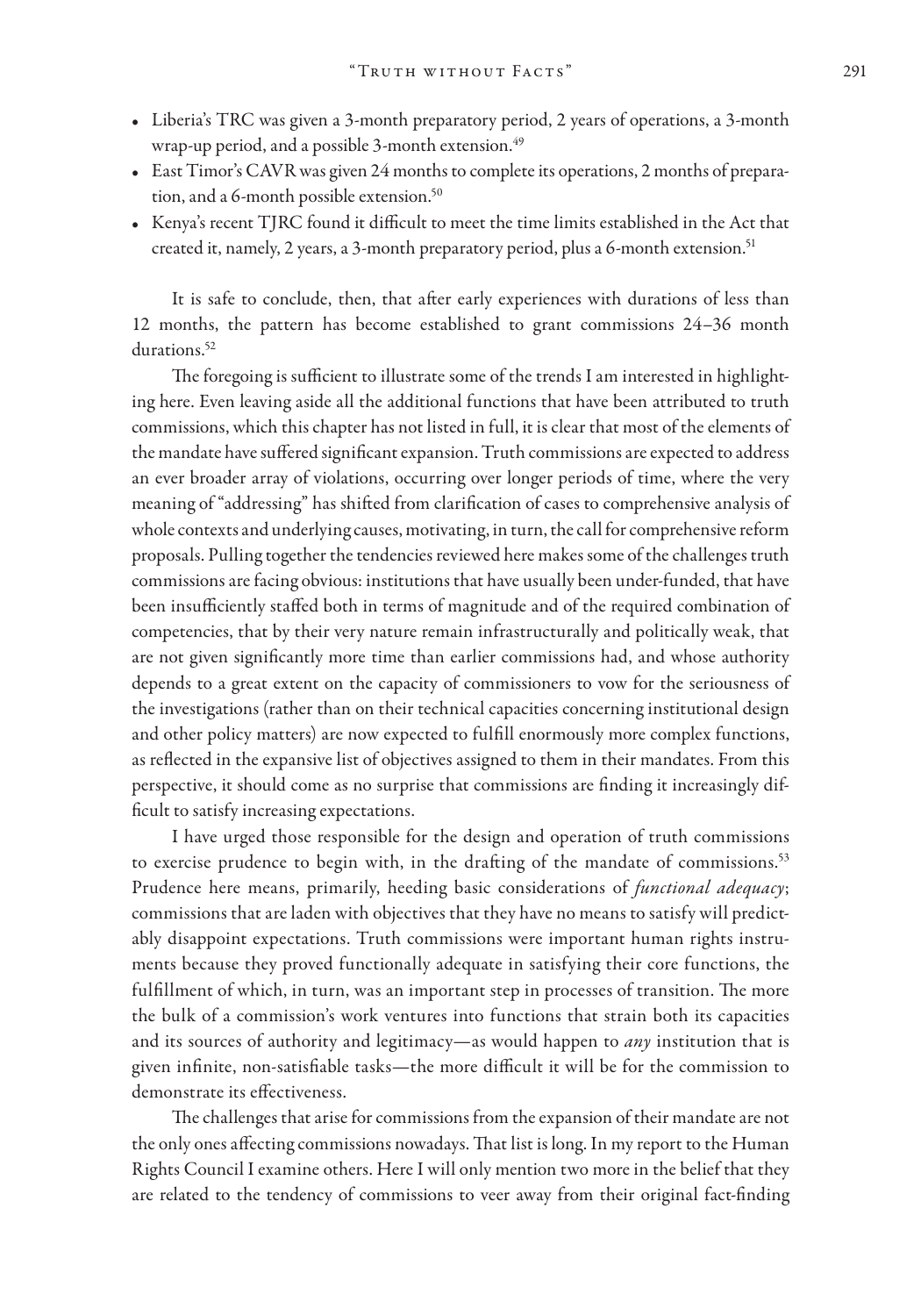- Liberia's TRC was given a 3-month preparatory period, 2 years of operations, a 3-month wrap-up period, and a possible 3-month extension.<sup>49</sup>
- East Timor's CAVR was given 24 months to complete its operations, 2 months of preparation, and a 6-month possible extension.<sup>50</sup>
- Kenya's recent TJRC found it difficult to meet the time limits established in the Act that created it, namely, 2 years, a 3-month preparatory period, plus a 6-month extension.<sup>51</sup>

It is safe to conclude, then, that after early experiences with durations of less than 12 months, the pattern has become established to grant commissions 24–36 month durations.<sup>52</sup>

The foregoing is sufficient to illustrate some of the trends I am interested in highlighting here. Even leaving aside all the additional functions that have been attributed to truth commissions, which this chapter has not listed in full, it is clear that most of the elements of the mandate have suffered significant expansion. Truth commissions are expected to address an ever broader array of violations, occurring over longer periods of time, where the very meaning of "addressing" has shifted from clarification of cases to comprehensive analysis of whole contexts and underlying causes, motivating, in turn, the call for comprehensive reform proposals. Pulling together the tendencies reviewed here makes some of the challenges truth commissions are facing obvious: institutions that have usually been under-funded, that have been insufficiently staffed both in terms of magnitude and of the required combination of competencies, that by their very nature remain infrastructurally and politically weak, that are not given significantly more time than earlier commissions had, and whose authority depends to a great extent on the capacity of commissioners to vow for the seriousness of the investigations (rather than on their technical capacities concerning institutional design and other policy matters) are now expected to fulfill enormously more complex functions, as reflected in the expansive list of objectives assigned to them in their mandates. From this perspective, it should come as no surprise that commissions are finding it increasingly difficult to satisfy increasing expectations.

I have urged those responsible for the design and operation of truth commissions to exercise prudence to begin with, in the drafting of the mandate of commissions.<sup>53</sup> Prudence here means, primarily, heeding basic considerations of *functional adequacy*; commissions that are laden with objectives that they have no means to satisfy will predictably disappoint expectations. Truth commissions were important human rights instruments because they proved functionally adequate in satisfying their core functions, the fulfillment of which, in turn, was an important step in processes of transition. The more the bulk of a commission's work ventures into functions that strain both its capacities and its sources of authority and legitimacy—as would happen to *any* institution that is given infinite, non-satisfiable tasks—the more difficult it will be for the commission to demonstrate its effectiveness.

The challenges that arise for commissions from the expansion of their mandate are not the only ones affecting commissions nowadays. That list is long. In my report to the Human Rights Council I examine others. Here I will only mention two more in the belief that they are related to the tendency of commissions to veer away from their original fact-finding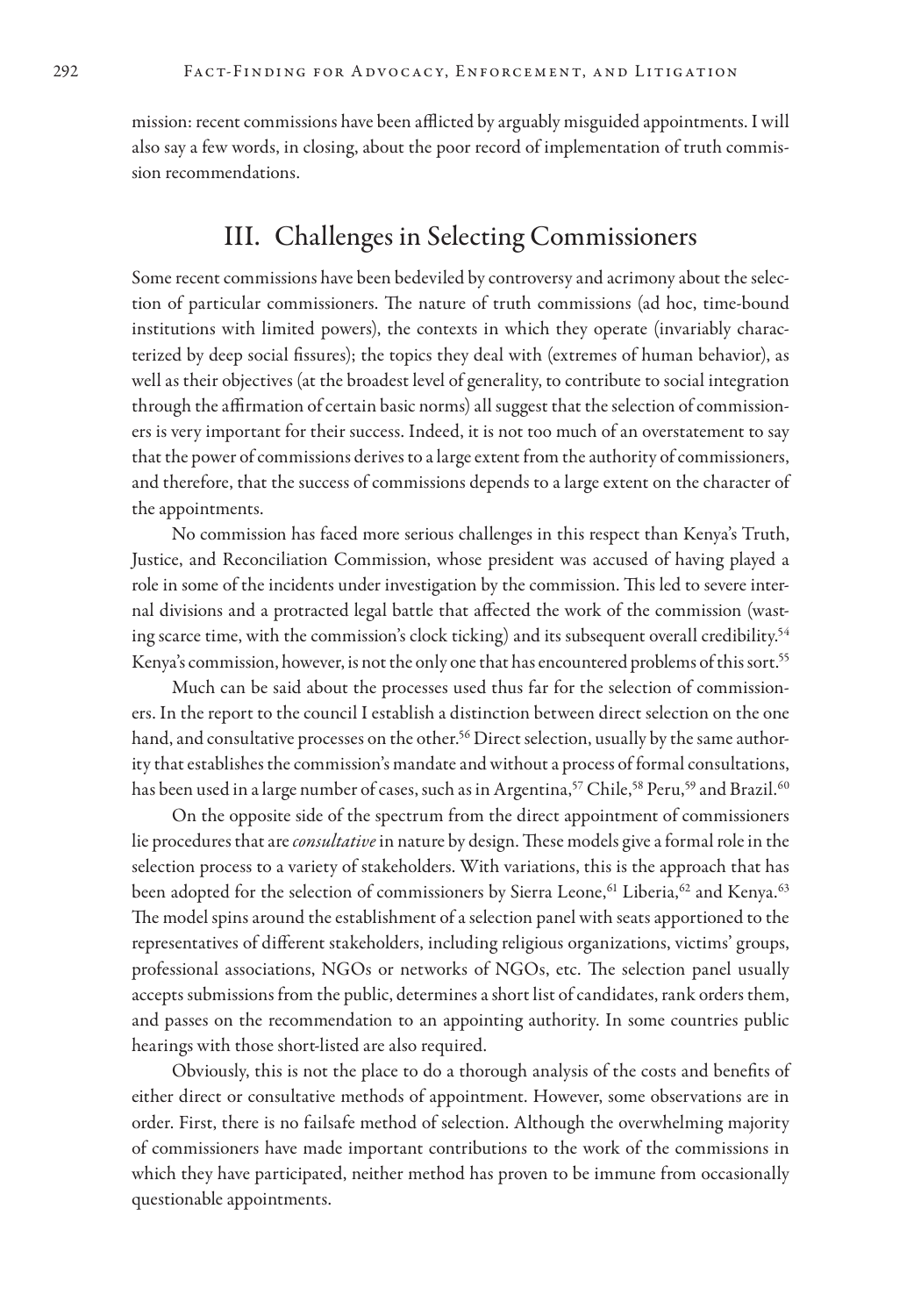mission: recent commissions have been afflicted by arguably misguided appointments. I will also say a few words, in closing, about the poor record of implementation of truth commission recommendations.

#### III. Challenges in Selecting Commissioners

Some recent commissions have been bedeviled by controversy and acrimony about the selection of particular commissioners. The nature of truth commissions (ad hoc, time-bound institutions with limited powers), the contexts in which they operate (invariably characterized by deep social fissures); the topics they deal with (extremes of human behavior), as well as their objectives (at the broadest level of generality, to contribute to social integration through the affirmation of certain basic norms) all suggest that the selection of commissioners is very important for their success. Indeed, it is not too much of an overstatement to say that the power of commissions derives to a large extent from the authority of commissioners, and therefore, that the success of commissions depends to a large extent on the character of the appointments.

No commission has faced more serious challenges in this respect than Kenya's Truth, Justice, and Reconciliation Commission, whose president was accused of having played a role in some of the incidents under investigation by the commission. This led to severe internal divisions and a protracted legal battle that affected the work of the commission (wasting scarce time, with the commission's clock ticking) and its subsequent overall credibility.<sup>54</sup> Kenya's commission, however, is not the only one that has encountered problems of this sort.<sup>55</sup>

Much can be said about the processes used thus far for the selection of commissioners. In the report to the council I establish a distinction between direct selection on the one hand, and consultative processes on the other.<sup>56</sup> Direct selection, usually by the same authority that establishes the commission's mandate and without a process of formal consultations, has been used in a large number of cases, such as in Argentina,<sup>57</sup> Chile,<sup>58</sup> Peru,<sup>59</sup> and Brazil.<sup>60</sup>

On the opposite side of the spectrum from the direct appointment of commissioners lie procedures that are *consultative* in nature by design. These models give a formal role in the selection process to a variety of stakeholders. With variations, this is the approach that has been adopted for the selection of commissioners by Sierra Leone,<sup>61</sup> Liberia,<sup>62</sup> and Kenya.<sup>63</sup> The model spins around the establishment of a selection panel with seats apportioned to the representatives of different stakeholders, including religious organizations, victims' groups, professional associations, NGOs or networks of NGOs, etc. The selection panel usually accepts submissions from the public, determines a short list of candidates, rank orders them, and passes on the recommendation to an appointing authority. In some countries public hearings with those short-listed are also required.

Obviously, this is not the place to do a thorough analysis of the costs and benefits of either direct or consultative methods of appointment. However, some observations are in order. First, there is no failsafe method of selection. Although the overwhelming majority of commissioners have made important contributions to the work of the commissions in which they have participated, neither method has proven to be immune from occasionally questionable appointments.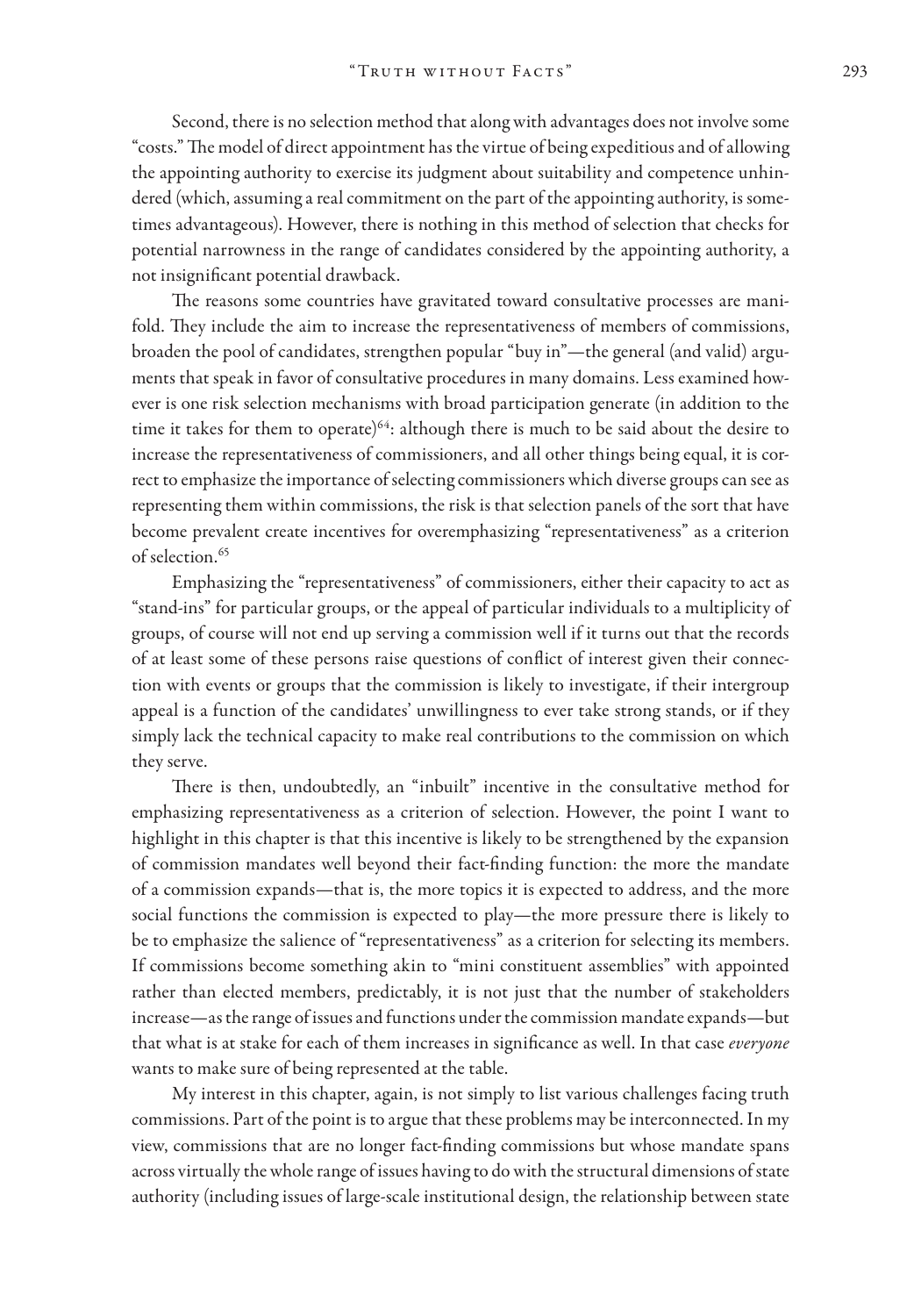Second, there is no selection method that along with advantages does not involve some "costs." The model of direct appointment has the virtue of being expeditious and of allowing the appointing authority to exercise its judgment about suitability and competence unhindered (which, assuming a real commitment on the part of the appointing authority, is sometimes advantageous). However, there is nothing in this method of selection that checks for potential narrowness in the range of candidates considered by the appointing authority, a not insignificant potential drawback.

The reasons some countries have gravitated toward consultative processes are manifold. They include the aim to increase the representativeness of members of commissions, broaden the pool of candidates, strengthen popular "buy in"—the general (and valid) arguments that speak in favor of consultative procedures in many domains. Less examined however is one risk selection mechanisms with broad participation generate (in addition to the time it takes for them to operate)<sup>64</sup>: although there is much to be said about the desire to increase the representativeness of commissioners, and all other things being equal, it is correct to emphasize the importance of selecting commissioners which diverse groups can see as representing them within commissions, the risk is that selection panels of the sort that have become prevalent create incentives for overemphasizing "representativeness" as a criterion of selection.<sup>65</sup>

Emphasizing the "representativeness" of commissioners, either their capacity to act as "stand-ins" for particular groups, or the appeal of particular individuals to a multiplicity of groups, of course will not end up serving a commission well if it turns out that the records of at least some of these persons raise questions of conflict of interest given their connection with events or groups that the commission is likely to investigate, if their intergroup appeal is a function of the candidates' unwillingness to ever take strong stands, or if they simply lack the technical capacity to make real contributions to the commission on which they serve.

There is then, undoubtedly, an "inbuilt" incentive in the consultative method for emphasizing representativeness as a criterion of selection. However, the point I want to highlight in this chapter is that this incentive is likely to be strengthened by the expansion of commission mandates well beyond their fact-finding function: the more the mandate of a commission expands—that is, the more topics it is expected to address, and the more social functions the commission is expected to play—the more pressure there is likely to be to emphasize the salience of "representativeness" as a criterion for selecting its members. If commissions become something akin to "mini constituent assemblies" with appointed rather than elected members, predictably, it is not just that the number of stakeholders increase—as the range of issues and functions under the commission mandate expands—but that what is at stake for each of them increases in significance as well. In that case *everyone* wants to make sure of being represented at the table.

My interest in this chapter, again, is not simply to list various challenges facing truth commissions. Part of the point is to argue that these problems may be interconnected. In my view, commissions that are no longer fact-finding commissions but whose mandate spans across virtually the whole range of issues having to do with the structural dimensions of state authority (including issues of large-scale institutional design, the relationship between state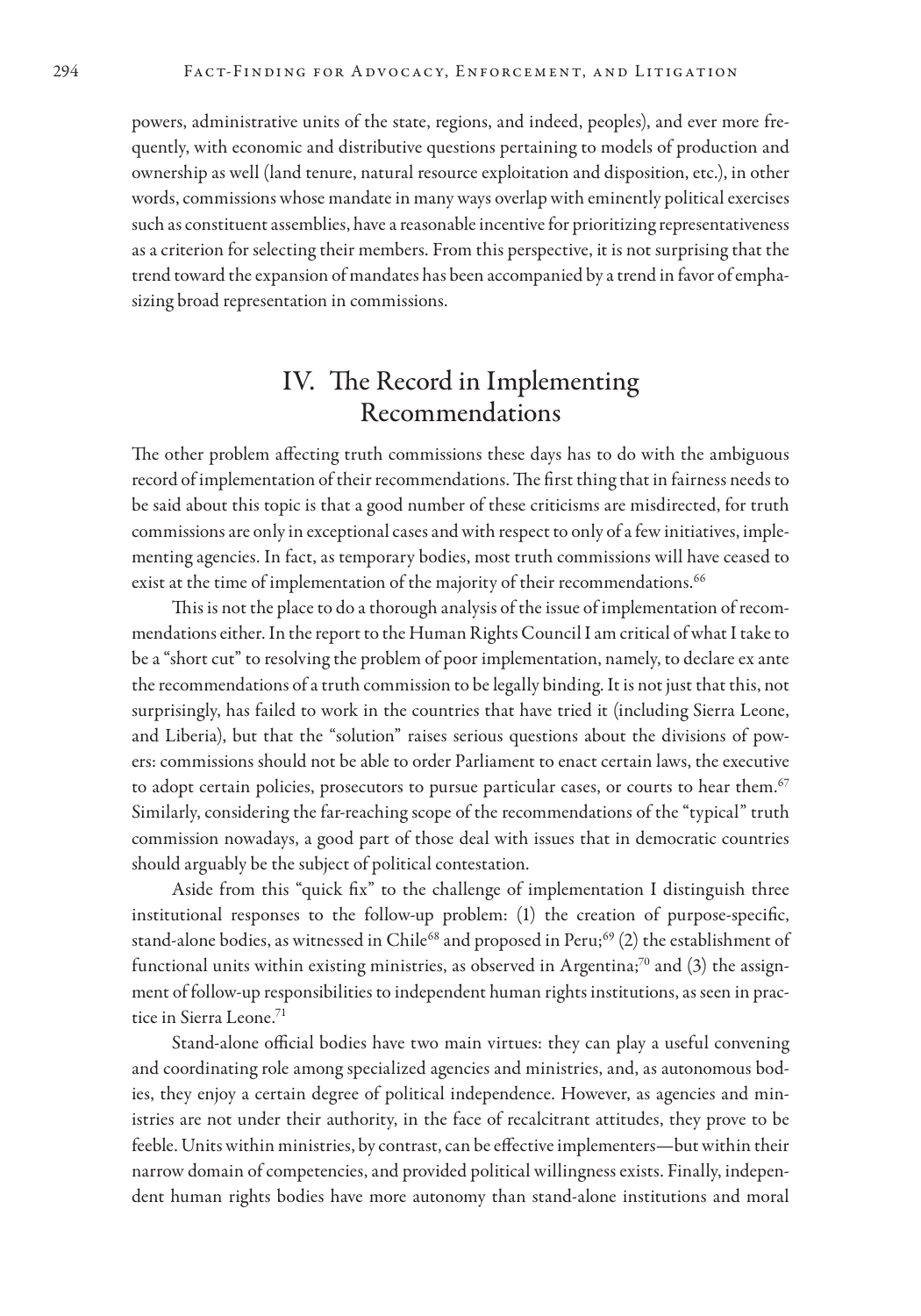powers, administrative units of the state, regions, and indeed, peoples), and ever more frequently, with economic and distributive questions pertaining to models of production and ownership as well (land tenure, natural resource exploitation and disposition, etc.), in other words, commissions whose mandate in many ways overlap with eminently political exercises such as constituent assemblies, have a reasonable incentive for prioritizing representativeness as a criterion for selecting their members. From this perspective, it is not surprising that the trend toward the expansion of mandates has been accompanied by a trend in favor of emphasizing broad representation in commissions.

#### IV. The Record in Implementing Recommendations

The other problem affecting truth commissions these days has to do with the ambiguous record of implementation of their recommendations. The first thing that in fairness needs to be said about this topic is that a good number of these criticisms are misdirected, for truth commissions are only in exceptional cases and with respect to only of a few initiatives, implementing agencies. In fact, as temporary bodies, most truth commissions will have ceased to exist at the time of implementation of the majority of their recommendations.<sup>66</sup>

This is not the place to do a thorough analysis of the issue of implementation of recommendations either. In the report to the Human Rights Council I am critical of what I take to be a "short cut" to resolving the problem of poor implementation, namely, to declare ex ante the recommendations of a truth commission to be legally binding. It is not just that this, not surprisingly, has failed to work in the countries that have tried it (including Sierra Leone, and Liberia), but that the "solution" raises serious questions about the divisions of powers: commissions should not be able to order Parliament to enact certain laws, the executive to adopt certain policies, prosecutors to pursue particular cases, or courts to hear them.<sup>67</sup> Similarly, considering the far-reaching scope of the recommendations of the "typical" truth commission nowadays, a good part of those deal with issues that in democratic countries should arguably be the subject of political contestation.

Aside from this "quick fix" to the challenge of implementation I distinguish three institutional responses to the follow-up problem: (1) the creation of purpose-specific, stand-alone bodies, as witnessed in Chile<sup>68</sup> and proposed in Peru;<sup>69</sup> (2) the establishment of functional units within existing ministries, as observed in Argentina;<sup>70</sup> and  $(3)$  the assignment of follow-up responsibilities to independent human rights institutions, as seen in practice in Sierra Leone.71

Stand-alone official bodies have two main virtues: they can play a useful convening and coordinating role among specialized agencies and ministries, and, as autonomous bodies, they enjoy a certain degree of political independence. However, as agencies and ministries are not under their authority, in the face of recalcitrant attitudes, they prove to be feeble. Units within ministries, by contrast, can be effective implementers—but within their narrow domain of competencies, and provided political willingness exists. Finally, independent human rights bodies have more autonomy than stand-alone institutions and moral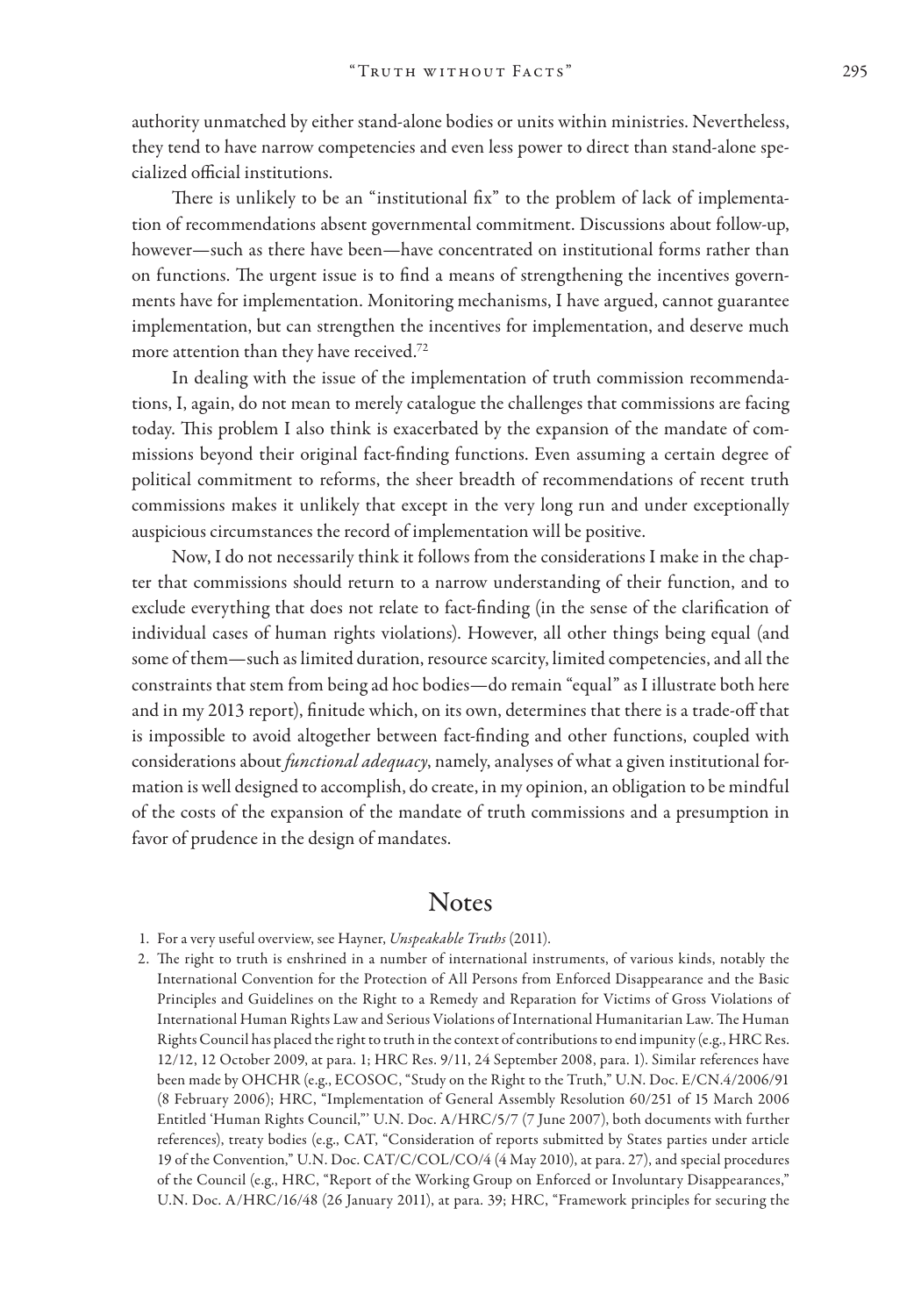authority unmatched by either stand-alone bodies or units within ministries. Nevertheless, they tend to have narrow competencies and even less power to direct than stand-alone specialized official institutions.

There is unlikely to be an "institutional fix" to the problem of lack of implementation of recommendations absent governmental commitment. Discussions about follow-up, however—such as there have been—have concentrated on institutional forms rather than on functions. The urgent issue is to find a means of strengthening the incentives governments have for implementation. Monitoring mechanisms, I have argued, cannot guarantee implementation, but can strengthen the incentives for implementation, and deserve much more attention than they have received.72

In dealing with the issue of the implementation of truth commission recommendations, I, again, do not mean to merely catalogue the challenges that commissions are facing today. This problem I also think is exacerbated by the expansion of the mandate of commissions beyond their original fact-finding functions. Even assuming a certain degree of political commitment to reforms, the sheer breadth of recommendations of recent truth commissions makes it unlikely that except in the very long run and under exceptionally auspicious circumstances the record of implementation will be positive.

Now, I do not necessarily think it follows from the considerations I make in the chapter that commissions should return to a narrow understanding of their function, and to exclude everything that does not relate to fact-finding (in the sense of the clarification of individual cases of human rights violations). However, all other things being equal (and some of them—such as limited duration, resource scarcity, limited competencies, and all the constraints that stem from being ad hoc bodies—do remain "equal" as I illustrate both here and in my 2013 report), finitude which, on its own, determines that there is a trade-off that is impossible to avoid altogether between fact-finding and other functions, coupled with considerations about *functional adequacy*, namely, analyses of what a given institutional formation is well designed to accomplish, do create, in my opinion, an obligation to be mindful of the costs of the expansion of the mandate of truth commissions and a presumption in favor of prudence in the design of mandates.

#### **Notes**

- 1. For a very useful overview, see Hayner, *Unspeakable Truths* (2011).
- 2. The right to truth is enshrined in a number of international instruments, of various kinds, notably the International Convention for the Protection of All Persons from Enforced Disappearance and the Basic Principles and Guidelines on the Right to a Remedy and Reparation for Victims of Gross Violations of International Human Rights Law and Serious Violations of International Humanitarian Law. The Human Rights Council has placed the right to truth in the context of contributions to end impunity (e.g., HRC Res. 12/12, 12 October 2009, at para. 1; HRC Res. 9/11, 24 September 2008, para. 1). Similar references have been made by OHCHR (e.g., ECOSOC, "Study on the Right to the Truth," U.N. Doc. E/CN.4/2006/91 (8 February 2006); HRC, "Implementation of General Assembly Resolution 60/251 of 15 March 2006 Entitled 'Human Rights Council,"' U.N. Doc. A/HRC/5/7 (7 June 2007), both documents with further references), treaty bodies (e.g., CAT, "Consideration of reports submitted by States parties under article 19 of the Convention," U.N. Doc. CAT/C/COL/CO/4 (4 May 2010), at para. 27), and special procedures of the Council (e.g., HRC, "Report of the Working Group on Enforced or Involuntary Disappearances," U.N. Doc. A/HRC/16/48 (26 January 2011), at para. 39; HRC, "Framework principles for securing the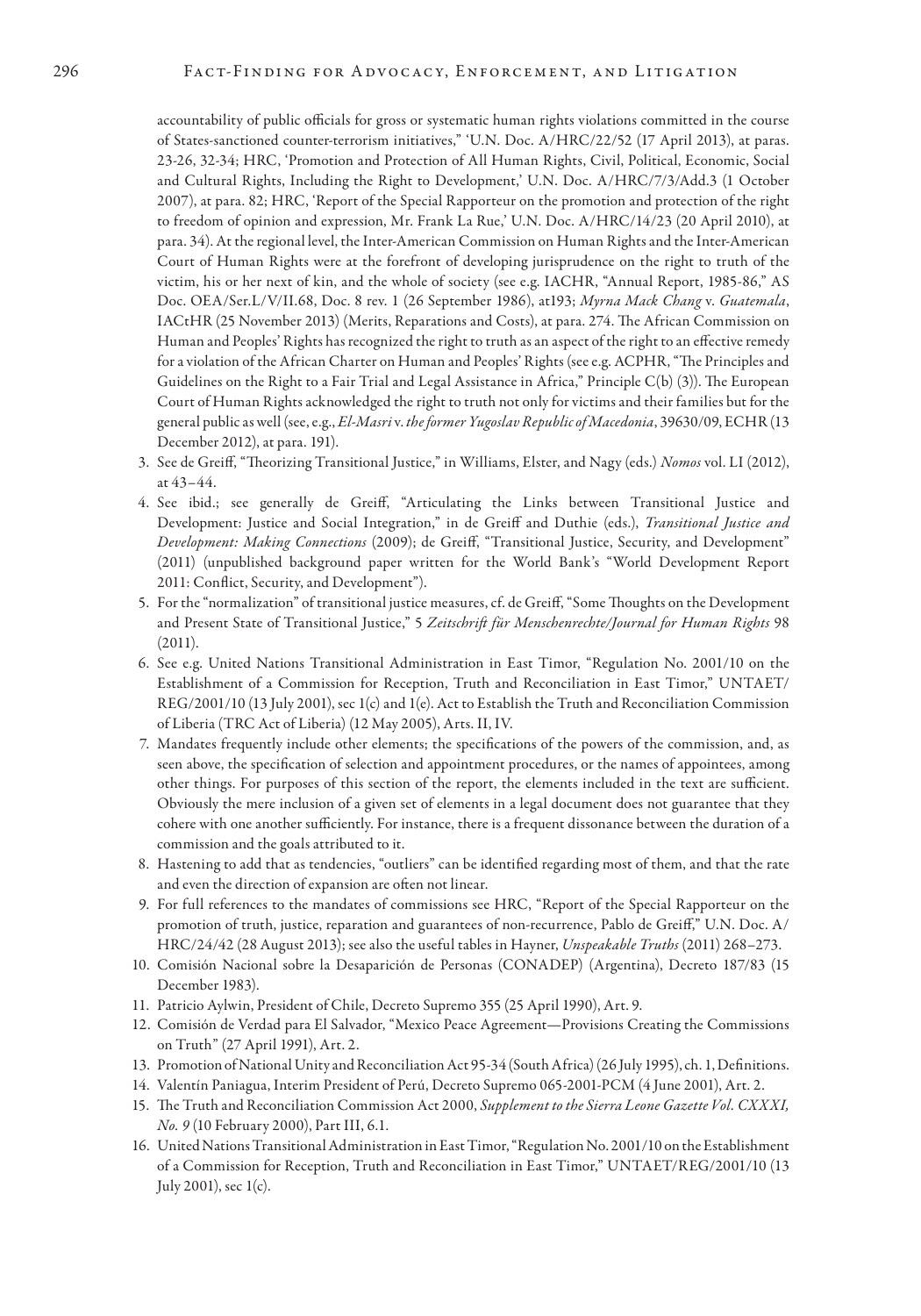accountability of public officials for gross or systematic human rights violations committed in the course of States-sanctioned counter-terrorism initiatives," 'U.N. Doc. A/HRC/22/52 (17 April 2013), at paras. 23-26, 32-34; HRC, 'Promotion and Protection of All Human Rights, Civil, Political, Economic, Social and Cultural Rights, Including the Right to Development,' U.N. Doc. A/HRC/7/3/Add.3 (1 October 2007), at para. 82; HRC, 'Report of the Special Rapporteur on the promotion and protection of the right to freedom of opinion and expression, Mr. Frank La Rue,' U.N. Doc. A/HRC/14/23 (20 April 2010), at para. 34). At the regional level, the Inter-American Commission on Human Rights and the Inter-American Court of Human Rights were at the forefront of developing jurisprudence on the right to truth of the victim, his or her next of kin, and the whole of society (see e.g. IACHR, "Annual Report, 1985-86," AS Doc. OEA/Ser.L/V/II.68, Doc. 8 rev. 1 (26 September 1986), at193; *Myrna Mack Chang* v. *Guatemala*, IACtHR (25 November 2013) (Merits, Reparations and Costs), at para. 274. The African Commission on Human and Peoples' Rights has recognized the right to truth as an aspect of the right to an effective remedy for a violation of the African Charter on Human and Peoples' Rights (see e.g. ACPHR, "The Principles and Guidelines on the Right to a Fair Trial and Legal Assistance in Africa," Principle C(b) (3)). The European Court of Human Rights acknowledged the right to truth not only for victims and their families but for the general public as well (see, e.g., *El-Masri* v. *the former Yugoslav Republic of Macedonia*, 39630/09, ECHR (13 December 2012), at para. 191).

- 3. See de Greiff, "Theorizing Transitional Justice," in Williams, Elster, and Nagy (eds.) *Nomos* vol. LI (2012), at 43–44.
- 4. See ibid.; see generally de Greiff, "Articulating the Links between Transitional Justice and Development: Justice and Social Integration," in de Greiff and Duthie (eds.), *Transitional Justice and Development: Making Connections* (2009); de Greiff, "Transitional Justice, Security, and Development" (2011) (unpublished background paper written for the World Bank's "World Development Report 2011: Conflict, Security, and Development").
- 5. For the "normalization" of transitional justice measures, cf. de Greiff, "Some Thoughts on the Development and Present State of Transitional Justice," 5 *Zeitschrift für Menschenrechte/Journal for Human Rights* 98 (2011).
- 6. See e.g. United Nations Transitional Administration in East Timor, "Regulation No. 2001/10 on the Establishment of a Commission for Reception, Truth and Reconciliation in East Timor," UNTAET/ REG/2001/10 (13 July 2001), sec 1(c) and 1(e). Act to Establish the Truth and Reconciliation Commission of Liberia (TRC Act of Liberia) (12 May 2005), Arts. II, IV.
- 7. Mandates frequently include other elements; the specifications of the powers of the commission, and, as seen above, the specification of selection and appointment procedures, or the names of appointees, among other things. For purposes of this section of the report, the elements included in the text are sufficient. Obviously the mere inclusion of a given set of elements in a legal document does not guarantee that they cohere with one another sufficiently. For instance, there is a frequent dissonance between the duration of a commission and the goals attributed to it.
- 8. Hastening to add that as tendencies, "outliers" can be identified regarding most of them, and that the rate and even the direction of expansion are often not linear.
- 9. For full references to the mandates of commissions see HRC, "Report of the Special Rapporteur on the promotion of truth, justice, reparation and guarantees of non-recurrence, Pablo de Greiff," U.N. Doc. A/ HRC/24/42 (28 August 2013); see also the useful tables in Hayner, *Unspeakable Truths* (2011) 268–273.
- 10. Comisión Nacional sobre la Desaparición de Personas (CONADEP) (Argentina), Decreto 187/83 (15 December 1983).
- 11. Patricio Aylwin, President of Chile, Decreto Supremo 355 (25 April 1990), Art. 9.
- 12. Comisión de Verdad para El Salvador, "Mexico Peace Agreement—Provisions Creating the Commissions on Truth" (27 April 1991), Art. 2.
- 13. Promotion of National Unity and Reconciliation Act 95-34 (South Africa) (26 July 1995), ch. 1, Definitions.
- 14. Valentín Paniagua, Interim President of Perú, Decreto Supremo 065-2001-PCM (4 June 2001), Art. 2.
- 15. The Truth and Reconciliation Commission Act 2000, *Supplement to the Sierra Leone Gazette Vol. CXXXI, No. 9* (10 February 2000), Part III, 6.1.
- 16. United Nations Transitional Administration in East Timor, "Regulation No. 2001/10 on the Establishment of a Commission for Reception, Truth and Reconciliation in East Timor," UNTAET/REG/2001/10 (13 July 2001), sec 1(c).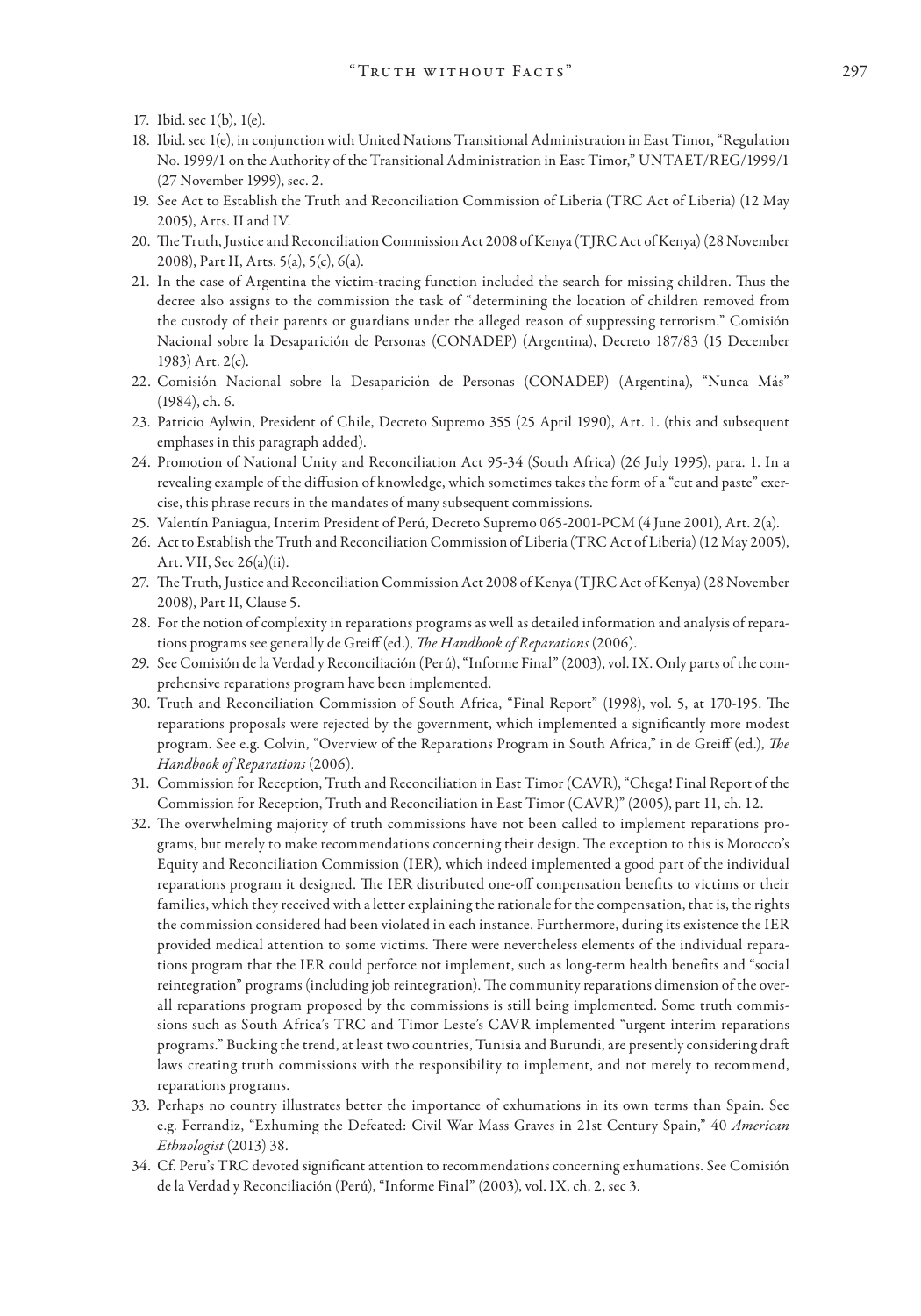- 17. Ibid. sec 1(b), 1(e).
- 18. Ibid. sec 1(e), in conjunction with United Nations Transitional Administration in East Timor, "Regulation No. 1999/1 on the Authority of the Transitional Administration in East Timor," UNTAET/REG/1999/1 (27 November 1999), sec. 2.
- 19. See Act to Establish the Truth and Reconciliation Commission of Liberia (TRC Act of Liberia) (12 May 2005), Arts. II and IV.
- 20. The Truth, Justice and Reconciliation Commission Act 2008 of Kenya (TJRC Act of Kenya) (28 November 2008), Part II, Arts. 5(a), 5(c), 6(a).
- 21. In the case of Argentina the victim-tracing function included the search for missing children. Thus the decree also assigns to the commission the task of "determining the location of children removed from the custody of their parents or guardians under the alleged reason of suppressing terrorism." Comisión Nacional sobre la Desaparición de Personas (CONADEP) (Argentina), Decreto 187/83 (15 December 1983) Art. 2(c).
- 22. Comisión Nacional sobre la Desaparición de Personas (CONADEP) (Argentina), "Nunca Más" (1984), ch. 6.
- 23. Patricio Aylwin, President of Chile, Decreto Supremo 355 (25 April 1990), Art. 1. (this and subsequent emphases in this paragraph added).
- 24. Promotion of National Unity and Reconciliation Act 95-34 (South Africa) (26 July 1995), para. 1. In a revealing example of the diffusion of knowledge, which sometimes takes the form of a "cut and paste" exercise, this phrase recurs in the mandates of many subsequent commissions.
- 25. Valentín Paniagua, Interim President of Perú, Decreto Supremo 065-2001-PCM (4 June 2001), Art. 2(a).
- 26. Act to Establish the Truth and Reconciliation Commission of Liberia (TRC Act of Liberia) (12 May 2005), Art. VII, Sec 26(a)(ii).
- 27. The Truth, Justice and Reconciliation Commission Act 2008 of Kenya (TJRC Act of Kenya) (28 November 2008), Part II, Clause 5.
- 28. For the notion of complexity in reparations programs as well as detailed information and analysis of reparations programs see generally de Greiff (ed.), *The Handbook of Reparations* (2006).
- 29. See Comisión de la Verdad y Reconciliación (Perú), "Informe Final" (2003), vol. IX. Only parts of the comprehensive reparations program have been implemented.
- 30. Truth and Reconciliation Commission of South Africa, "Final Report" (1998), vol. 5, at 170-195. The reparations proposals were rejected by the government, which implemented a significantly more modest program. See e.g. Colvin, "Overview of the Reparations Program in South Africa," in de Greiff (ed.), *The Handbook of Reparations* (2006).
- 31. Commission for Reception, Truth and Reconciliation in East Timor (CAVR), "Chega! Final Report of the Commission for Reception, Truth and Reconciliation in East Timor (CAVR)" (2005), part 11, ch. 12.
- 32. The overwhelming majority of truth commissions have not been called to implement reparations programs, but merely to make recommendations concerning their design. The exception to this is Morocco's Equity and Reconciliation Commission (IER), which indeed implemented a good part of the individual reparations program it designed. The IER distributed one-off compensation benefits to victims or their families, which they received with a letter explaining the rationale for the compensation, that is, the rights the commission considered had been violated in each instance. Furthermore, during its existence the IER provided medical attention to some victims. There were nevertheless elements of the individual reparations program that the IER could perforce not implement, such as long-term health benefits and "social reintegration" programs (including job reintegration). The community reparations dimension of the overall reparations program proposed by the commissions is still being implemented. Some truth commissions such as South Africa's TRC and Timor Leste's CAVR implemented "urgent interim reparations programs." Bucking the trend, at least two countries, Tunisia and Burundi, are presently considering draft laws creating truth commissions with the responsibility to implement, and not merely to recommend, reparations programs.
- 33. Perhaps no country illustrates better the importance of exhumations in its own terms than Spain. See e.g. Ferrandiz, "Exhuming the Defeated: Civil War Mass Graves in 21st Century Spain," 40 *American Ethnologist* (2013) 38.
- 34. Cf. Peru's TRC devoted significant attention to recommendations concerning exhumations. See Comisión de la Verdad y Reconciliación (Perú), "Informe Final" (2003), vol. IX, ch. 2, sec 3.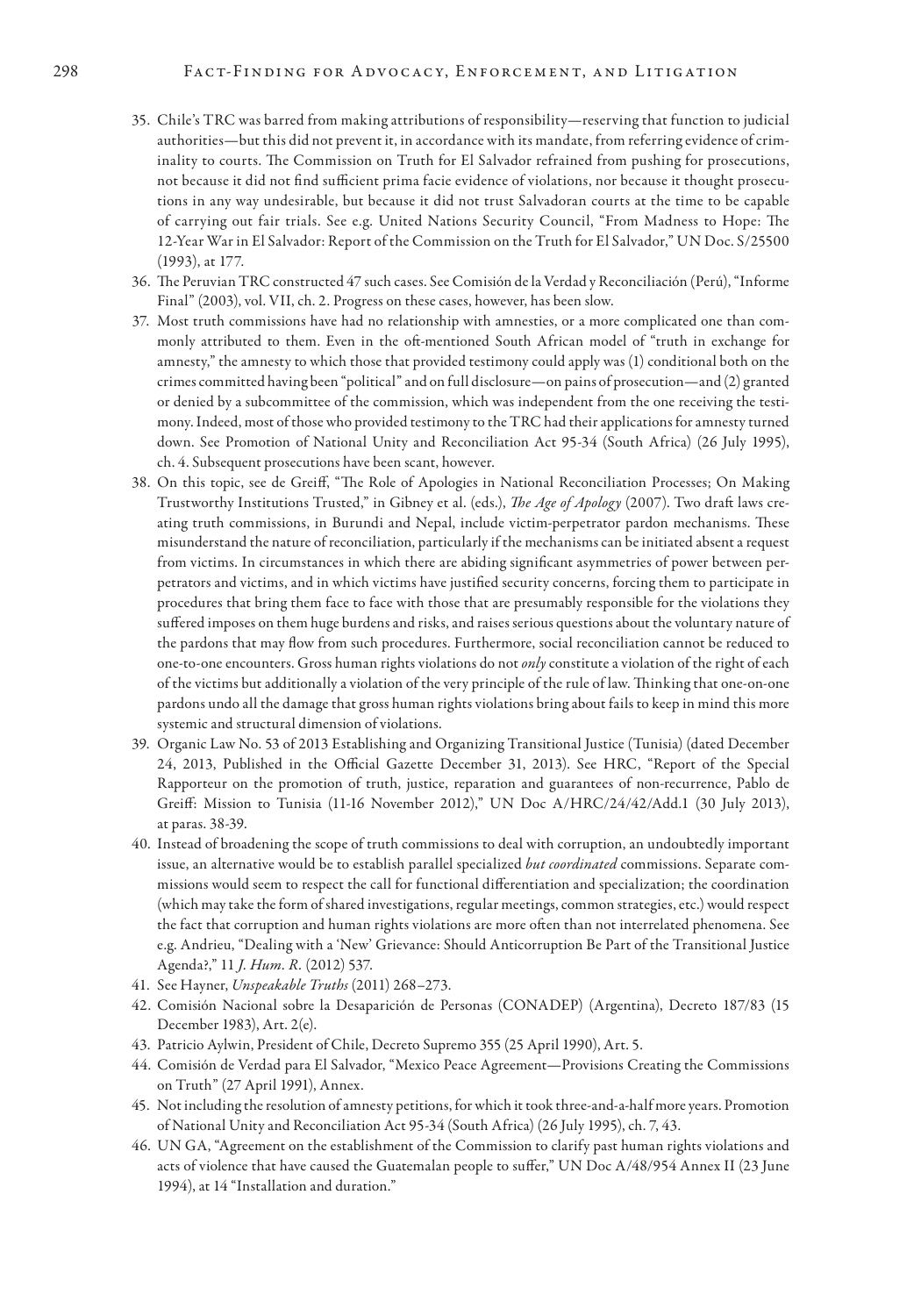#### 298 FACT-FINDING FOR ADVOCACY, ENFORCEMENT, AND LITIGATION

- 35. Chile's TRC was barred from making attributions of responsibility—reserving that function to judicial authorities—but this did not prevent it, in accordance with its mandate, from referring evidence of criminality to courts. The Commission on Truth for El Salvador refrained from pushing for prosecutions, not because it did not find sufficient prima facie evidence of violations, nor because it thought prosecutions in any way undesirable, but because it did not trust Salvadoran courts at the time to be capable of carrying out fair trials. See e.g. United Nations Security Council, "From Madness to Hope: The 12-Year War in El Salvador: Report of the Commission on the Truth for El Salvador," UN Doc. S/25500 (1993), at 177.
- 36. The Peruvian TRC constructed 47 such cases. See Comisión de la Verdad y Reconciliación (Perú), "Informe Final" (2003), vol. VII, ch. 2. Progress on these cases, however, has been slow.
- 37. Most truth commissions have had no relationship with amnesties, or a more complicated one than commonly attributed to them. Even in the oft-mentioned South African model of "truth in exchange for amnesty," the amnesty to which those that provided testimony could apply was (1) conditional both on the crimes committed having been "political" and on full disclosure—on pains of prosecution—and (2) granted or denied by a subcommittee of the commission, which was independent from the one receiving the testimony. Indeed, most of those who provided testimony to the TRC had their applications for amnesty turned down. See Promotion of National Unity and Reconciliation Act 95-34 (South Africa) (26 July 1995), ch. 4. Subsequent prosecutions have been scant, however.
- 38. On this topic, see de Greiff, "The Role of Apologies in National Reconciliation Processes; On Making Trustworthy Institutions Trusted," in Gibney et al. (eds.), *The Age of Apology* (2007). Two draft laws creating truth commissions, in Burundi and Nepal, include victim-perpetrator pardon mechanisms. These misunderstand the nature of reconciliation, particularly if the mechanisms can be initiated absent a request from victims. In circumstances in which there are abiding significant asymmetries of power between perpetrators and victims, and in which victims have justified security concerns, forcing them to participate in procedures that bring them face to face with those that are presumably responsible for the violations they suffered imposes on them huge burdens and risks, and raises serious questions about the voluntary nature of the pardons that may flow from such procedures. Furthermore, social reconciliation cannot be reduced to one-to-one encounters. Gross human rights violations do not *only* constitute a violation of the right of each of the victims but additionally a violation of the very principle of the rule of law. Thinking that one-on-one pardons undo all the damage that gross human rights violations bring about fails to keep in mind this more systemic and structural dimension of violations.
- 39. Organic Law No. 53 of 2013 Establishing and Organizing Transitional Justice (Tunisia) (dated December 24, 2013, Published in the Official Gazette December 31, 2013). See HRC, "Report of the Special Rapporteur on the promotion of truth, justice, reparation and guarantees of non-recurrence, Pablo de Greiff: Mission to Tunisia (11-16 November 2012)," UN Doc A/HRC/24/42/Add.1 (30 July 2013), at paras. 38-39.
- 40. Instead of broadening the scope of truth commissions to deal with corruption, an undoubtedly important issue, an alternative would be to establish parallel specialized *but coordinated* commissions. Separate commissions would seem to respect the call for functional differentiation and specialization; the coordination (which may take the form of shared investigations, regular meetings, common strategies, etc.) would respect the fact that corruption and human rights violations are more often than not interrelated phenomena. See e.g. Andrieu, "Dealing with a 'New' Grievance: Should Anticorruption Be Part of the Transitional Justice Agenda?," 11 *J. Hum. R.* (2012) 537.
- 41. See Hayner, *Unspeakable Truths* (2011) 268–273.
- 42. Comisión Nacional sobre la Desaparición de Personas (CONADEP) (Argentina), Decreto 187/83 (15 December 1983), Art. 2(e).
- 43. Patricio Aylwin, President of Chile, Decreto Supremo 355 (25 April 1990), Art. 5.
- 44. Comisión de Verdad para El Salvador, "Mexico Peace Agreement—Provisions Creating the Commissions on Truth" (27 April 1991), Annex.
- 45. Not including the resolution of amnesty petitions, for which it took three-and-a-half more years. Promotion of National Unity and Reconciliation Act 95-34 (South Africa) (26 July 1995), ch. 7, 43.
- 46. UN GA, "Agreement on the establishment of the Commission to clarify past human rights violations and acts of violence that have caused the Guatemalan people to suffer," UN Doc A/48/954 Annex II (23 June 1994), at 14 "Installation and duration."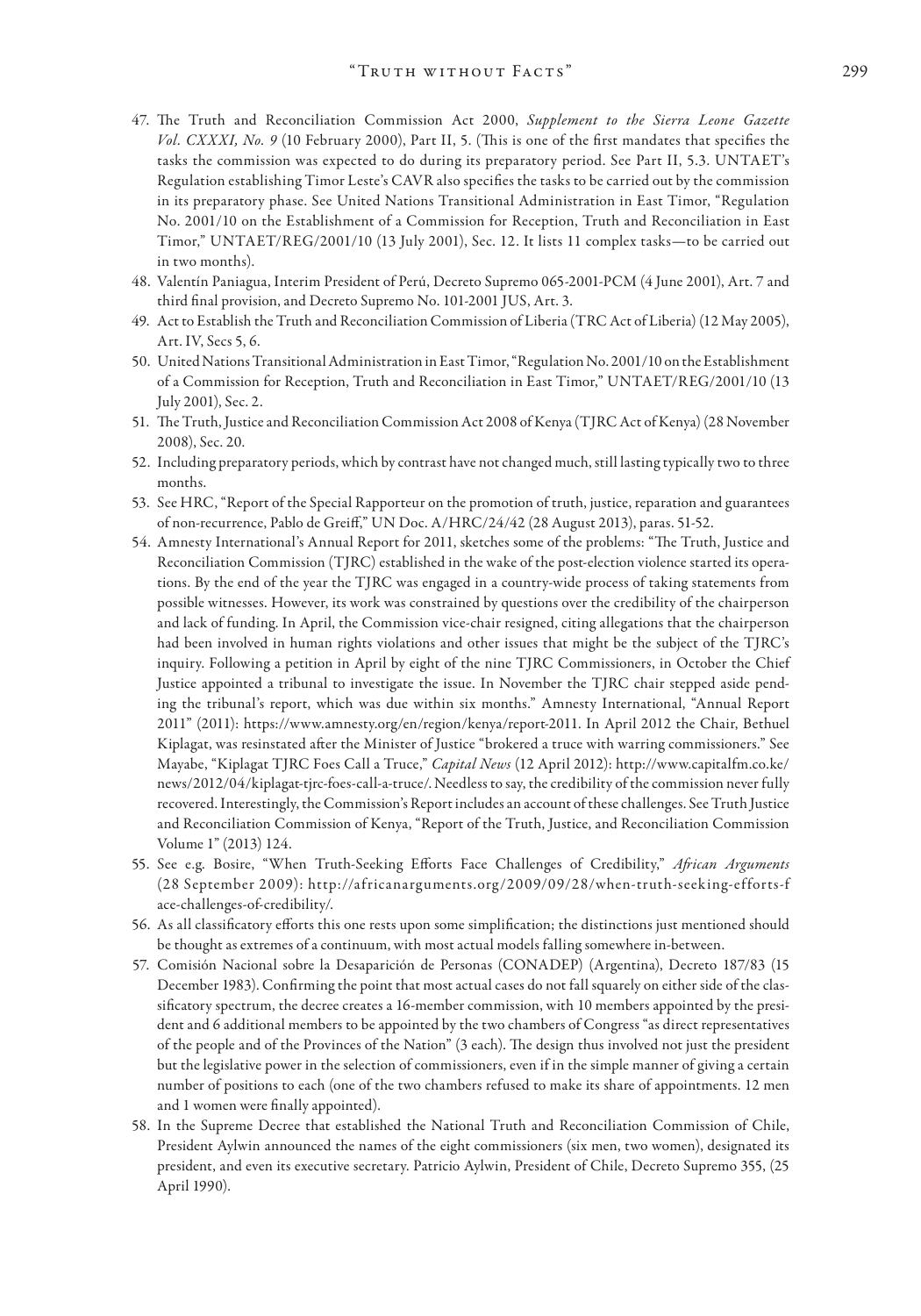- 47. The Truth and Reconciliation Commission Act 2000, *Supplement to the Sierra Leone Gazette Vol. CXXXI, No. 9* (10 February 2000), Part II, 5. (This is one of the first mandates that specifies the tasks the commission was expected to do during its preparatory period. See Part II, 5.3. UNTAET's Regulation establishing Timor Leste's CAVR also specifies the tasks to be carried out by the commission in its preparatory phase. See United Nations Transitional Administration in East Timor, "Regulation No. 2001/10 on the Establishment of a Commission for Reception, Truth and Reconciliation in East Timor," UNTAET/REG/2001/10 (13 July 2001), Sec. 12. It lists 11 complex tasks—to be carried out in two months).
- 48. Valentín Paniagua, Interim President of Perú, Decreto Supremo 065-2001-PCM (4 June 2001), Art. 7 and third final provision, and Decreto Supremo No. 101-2001 JUS, Art. 3.
- 49. Act to Establish the Truth and Reconciliation Commission of Liberia (TRC Act of Liberia) (12 May 2005), Art. IV, Secs 5, 6.
- 50. United Nations Transitional Administration in East Timor, "Regulation No. 2001/10 on the Establishment of a Commission for Reception, Truth and Reconciliation in East Timor," UNTAET/REG/2001/10 (13 July 2001), Sec. 2.
- 51. The Truth, Justice and Reconciliation Commission Act 2008 of Kenya (TJRC Act of Kenya) (28 November 2008), Sec. 20.
- 52. Including preparatory periods, which by contrast have not changed much, still lasting typically two to three months.
- 53. See HRC, "Report of the Special Rapporteur on the promotion of truth, justice, reparation and guarantees of non-recurrence, Pablo de Greiff," UN Doc. A/HRC/24/42 (28 August 2013), paras. 51-52.
- 54. Amnesty International's Annual Report for 2011, sketches some of the problems: "The Truth, Justice and Reconciliation Commission (TJRC) established in the wake of the post-election violence started its operations. By the end of the year the TJRC was engaged in a country-wide process of taking statements from possible witnesses. However, its work was constrained by questions over the credibility of the chairperson and lack of funding. In April, the Commission vice-chair resigned, citing allegations that the chairperson had been involved in human rights violations and other issues that might be the subject of the TJRC's inquiry. Following a petition in April by eight of the nine TJRC Commissioners, in October the Chief Justice appointed a tribunal to investigate the issue. In November the TJRC chair stepped aside pending the tribunal's report, which was due within six months." Amnesty International, "Annual Report 2011" (2011): https://www.amnesty.org/en/region/kenya/report-2011. In April 2012 the Chair, Bethuel Kiplagat, was resinstated after the Minister of Justice "brokered a truce with warring commissioners." See Mayabe, "Kiplagat TJRC Foes Call a Truce," *Capital News* (12 April 2012): http://www.capitalfm.co.ke/ news/2012/04/kiplagat-tjrc-foes-call-a-truce/. Needless to say, the credibility of the commission never fully recovered. Interestingly, the Commission's Report includes an account of these challenges. See Truth Justice and Reconciliation Commission of Kenya, "Report of the Truth, Justice, and Reconciliation Commission Volume 1" (2013) 124.
- 55. See e.g. Bosire, "When Truth-Seeking Efforts Face Challenges of Credibility," *African Arguments* (28 September 2009): http://africanarguments.org/2009/09/28/when-truth-seeking-efforts-f ace-challenges-of-credibility/.
- 56. As all classificatory efforts this one rests upon some simplification; the distinctions just mentioned should be thought as extremes of a continuum, with most actual models falling somewhere in-between.
- 57. Comisión Nacional sobre la Desaparición de Personas (CONADEP) (Argentina), Decreto 187/83 (15 December 1983). Confirming the point that most actual cases do not fall squarely on either side of the classificatory spectrum, the decree creates a 16-member commission, with 10 members appointed by the president and 6 additional members to be appointed by the two chambers of Congress "as direct representatives of the people and of the Provinces of the Nation" (3 each). The design thus involved not just the president but the legislative power in the selection of commissioners, even if in the simple manner of giving a certain number of positions to each (one of the two chambers refused to make its share of appointments. 12 men and 1 women were finally appointed).
- 58. In the Supreme Decree that established the National Truth and Reconciliation Commission of Chile, President Aylwin announced the names of the eight commissioners (six men, two women), designated its president, and even its executive secretary. Patricio Aylwin, President of Chile, Decreto Supremo 355, (25 April 1990).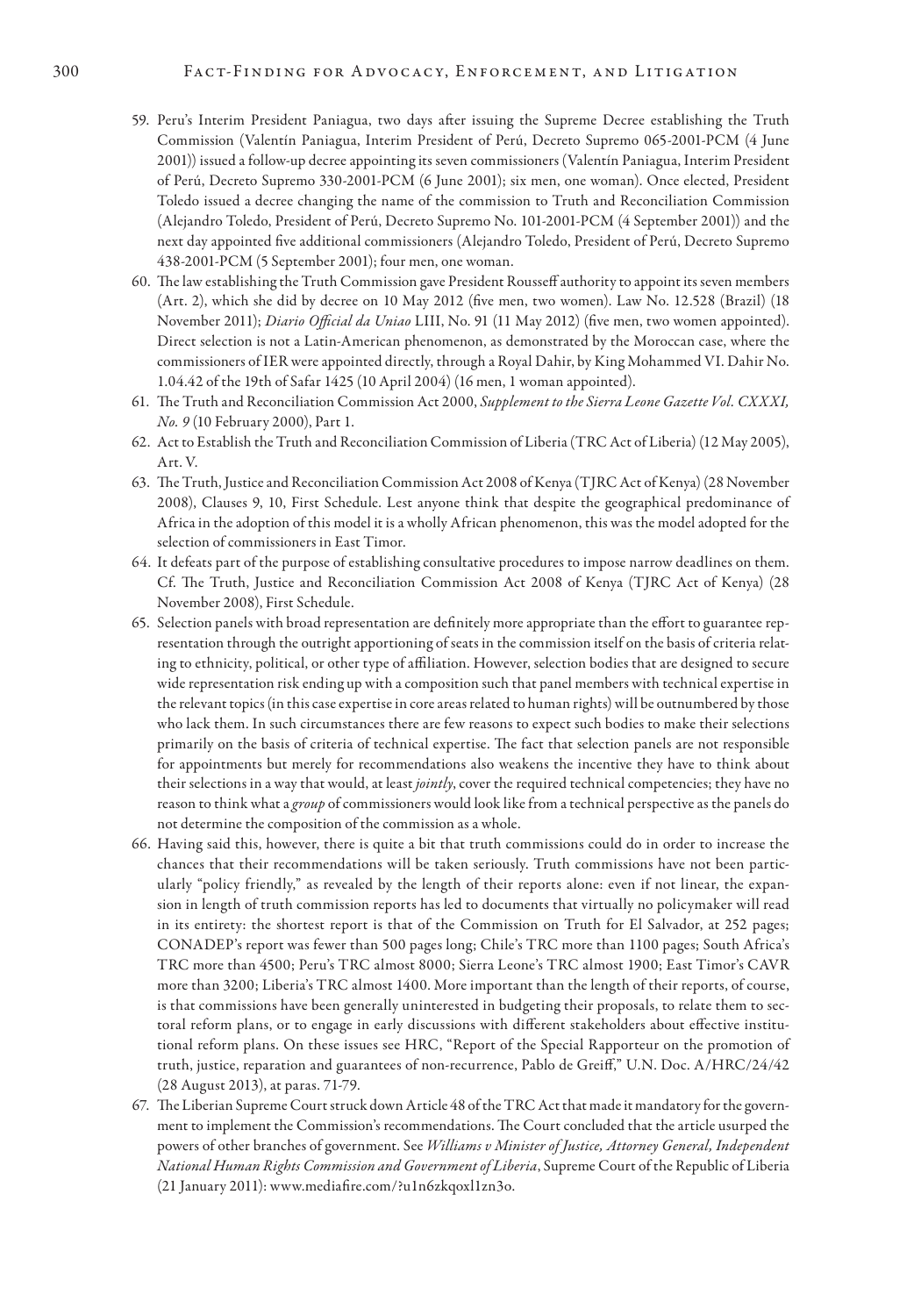- 59. Peru's Interim President Paniagua, two days after issuing the Supreme Decree establishing the Truth Commission (Valentín Paniagua, Interim President of Perú, Decreto Supremo 065-2001-PCM (4 June 2001)) issued a follow-up decree appointing its seven commissioners (Valentín Paniagua, Interim President of Perú, Decreto Supremo 330-2001-PCM (6 June 2001); six men, one woman). Once elected, President Toledo issued a decree changing the name of the commission to Truth and Reconciliation Commission (Alejandro Toledo, President of Perú, Decreto Supremo No. 101-2001-PCM (4 September 2001)) and the next day appointed five additional commissioners (Alejandro Toledo, President of Perú, Decreto Supremo 438-2001-PCM (5 September 2001); four men, one woman.
- 60. The law establishing the Truth Commission gave President Rousseff authority to appoint its seven members (Art. 2), which she did by decree on 10 May 2012 (five men, two women). Law No. 12.528 (Brazil) (18 November 2011); *Diario Official da Uniao* LIII, No. 91 (11 May 2012) (five men, two women appointed). Direct selection is not a Latin-American phenomenon, as demonstrated by the Moroccan case, where the commissioners of IER were appointed directly, through a Royal Dahir, by King Mohammed VI. Dahir No. 1.04.42 of the 19th of Safar 1425 (10 April 2004) (16 men, 1 woman appointed).
- 61. The Truth and Reconciliation Commission Act 2000, *Supplement to the Sierra Leone Gazette Vol. CXXXI, No. 9* (10 February 2000), Part 1.
- 62. Act to Establish the Truth and Reconciliation Commission of Liberia (TRC Act of Liberia) (12 May 2005), Art. V.
- 63. The Truth, Justice and Reconciliation Commission Act 2008 of Kenya (TJRC Act of Kenya) (28 November 2008), Clauses 9, 10, First Schedule. Lest anyone think that despite the geographical predominance of Africa in the adoption of this model it is a wholly African phenomenon, this was the model adopted for the selection of commissioners in East Timor.
- 64. It defeats part of the purpose of establishing consultative procedures to impose narrow deadlines on them. Cf. The Truth, Justice and Reconciliation Commission Act 2008 of Kenya (TJRC Act of Kenya) (28 November 2008), First Schedule.
- 65. Selection panels with broad representation are definitely more appropriate than the effort to guarantee representation through the outright apportioning of seats in the commission itself on the basis of criteria relating to ethnicity, political, or other type of affiliation. However, selection bodies that are designed to secure wide representation risk ending up with a composition such that panel members with technical expertise in the relevant topics (in this case expertise in core areas related to human rights) will be outnumbered by those who lack them. In such circumstances there are few reasons to expect such bodies to make their selections primarily on the basis of criteria of technical expertise. The fact that selection panels are not responsible for appointments but merely for recommendations also weakens the incentive they have to think about their selections in a way that would, at least *jointly*, cover the required technical competencies; they have no reason to think what a *group* of commissioners would look like from a technical perspective as the panels do not determine the composition of the commission as a whole.
- 66. Having said this, however, there is quite a bit that truth commissions could do in order to increase the chances that their recommendations will be taken seriously. Truth commissions have not been particularly "policy friendly," as revealed by the length of their reports alone: even if not linear, the expansion in length of truth commission reports has led to documents that virtually no policymaker will read in its entirety: the shortest report is that of the Commission on Truth for El Salvador, at 252 pages; CONADEP's report was fewer than 500 pages long; Chile's TRC more than 1100 pages; South Africa's TRC more than 4500; Peru's TRC almost 8000; Sierra Leone's TRC almost 1900; East Timor's CAVR more than 3200; Liberia's TRC almost 1400. More important than the length of their reports, of course, is that commissions have been generally uninterested in budgeting their proposals, to relate them to sectoral reform plans, or to engage in early discussions with different stakeholders about effective institutional reform plans. On these issues see HRC, "Report of the Special Rapporteur on the promotion of truth, justice, reparation and guarantees of non-recurrence, Pablo de Greiff," U.N. Doc. A/HRC/24/42 (28 August 2013), at paras. 71-79.
- 67. The Liberian Supreme Court struck down Article 48 of the TRC Act that made it mandatory for the government to implement the Commission's recommendations. The Court concluded that the article usurped the powers of other branches of government. See *Williams v Minister of Justice, Attorney General, Independent National Human Rights Commission and Government of Liberia*, Supreme Court of the Republic of Liberia (21 January 2011): www.mediafire.com/?u1n6zkqoxl1zn3o.